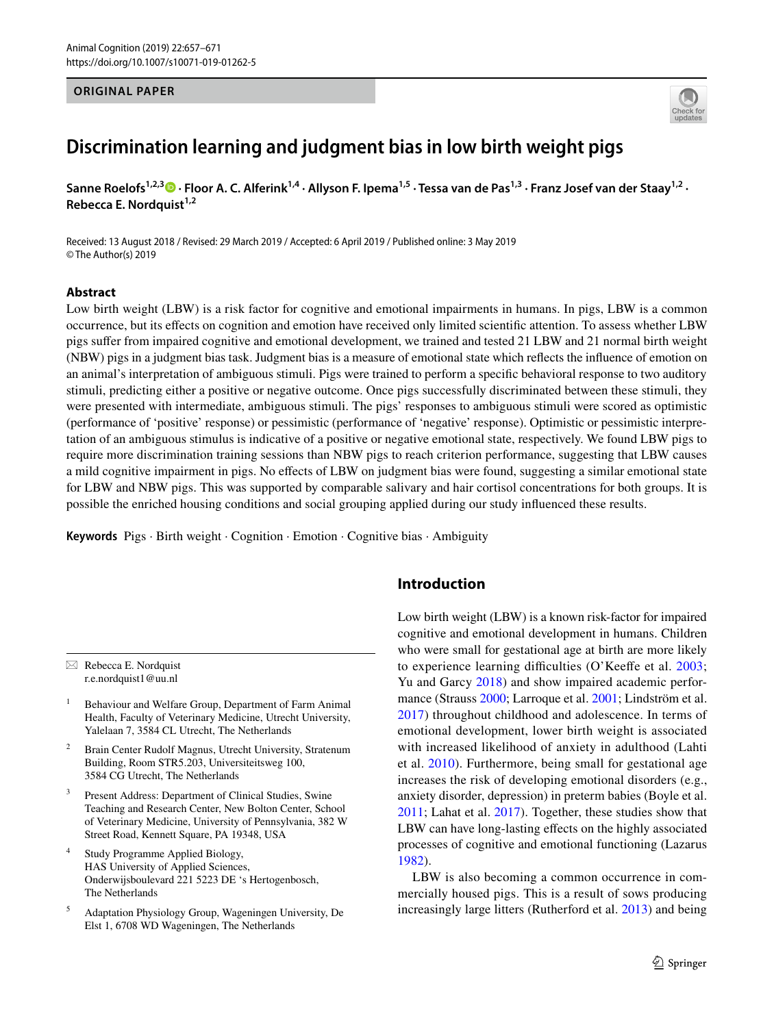### **ORIGINAL PAPER**



# **Discrimination learning and judgment bias in low birth weight pigs**

SanneRoelofs<sup>1,2,3</sup>  $\bullet$  · Floor A. C. Alferink<sup>1,4</sup> · Allyson F. Ipema<sup>1,5</sup> · Tessa van de Pas<sup>1,3</sup> · Franz Josef van der Staay<sup>1,2</sup> · **Rebecca E. Nordquist1,2**

Received: 13 August 2018 / Revised: 29 March 2019 / Accepted: 6 April 2019 / Published online: 3 May 2019 © The Author(s) 2019

## **Abstract**

Low birth weight (LBW) is a risk factor for cognitive and emotional impairments in humans. In pigs, LBW is a common occurrence, but its efects on cognition and emotion have received only limited scientifc attention. To assess whether LBW pigs sufer from impaired cognitive and emotional development, we trained and tested 21 LBW and 21 normal birth weight (NBW) pigs in a judgment bias task. Judgment bias is a measure of emotional state which refects the infuence of emotion on an animal's interpretation of ambiguous stimuli. Pigs were trained to perform a specifc behavioral response to two auditory stimuli, predicting either a positive or negative outcome. Once pigs successfully discriminated between these stimuli, they were presented with intermediate, ambiguous stimuli. The pigs' responses to ambiguous stimuli were scored as optimistic (performance of 'positive' response) or pessimistic (performance of 'negative' response). Optimistic or pessimistic interpretation of an ambiguous stimulus is indicative of a positive or negative emotional state, respectively. We found LBW pigs to require more discrimination training sessions than NBW pigs to reach criterion performance, suggesting that LBW causes a mild cognitive impairment in pigs. No efects of LBW on judgment bias were found, suggesting a similar emotional state for LBW and NBW pigs. This was supported by comparable salivary and hair cortisol concentrations for both groups. It is possible the enriched housing conditions and social grouping applied during our study infuenced these results.

**Keywords** Pigs · Birth weight · Cognition · Emotion · Cognitive bias · Ambiguity

 $\boxtimes$  Rebecca E. Nordquist r.e.nordquist1@uu.nl

- <sup>1</sup> Behaviour and Welfare Group, Department of Farm Animal Health, Faculty of Veterinary Medicine, Utrecht University, Yalelaan 7, 3584 CL Utrecht, The Netherlands
- <sup>2</sup> Brain Center Rudolf Magnus, Utrecht University, Stratenum Building, Room STR5.203, Universiteitsweg 100, 3584 CG Utrecht, The Netherlands
- Present Address: Department of Clinical Studies, Swine Teaching and Research Center, New Bolton Center, School of Veterinary Medicine, University of Pennsylvania, 382 W Street Road, Kennett Square, PA 19348, USA
- <sup>4</sup> Study Programme Applied Biology, HAS University of Applied Sciences, Onderwijsboulevard 221 5223 DE 's Hertogenbosch, The Netherlands
- <sup>5</sup> Adaptation Physiology Group, Wageningen University, De Elst 1, 6708 WD Wageningen, The Netherlands

# **Introduction**

Low birth weight (LBW) is a known risk-factor for impaired cognitive and emotional development in humans. Children who were small for gestational age at birth are more likely to experience learning difficulties (O'Keeffe et al.  $2003$ ; Yu and Garcy [2018\)](#page-14-0) and show impaired academic performance (Strauss [2000;](#page-14-1) Larroque et al. [2001;](#page-13-1) Lindström et al. [2017\)](#page-13-2) throughout childhood and adolescence. In terms of emotional development, lower birth weight is associated with increased likelihood of anxiety in adulthood (Lahti et al. [2010](#page-13-3)). Furthermore, being small for gestational age increases the risk of developing emotional disorders (e.g., anxiety disorder, depression) in preterm babies (Boyle et al. [2011](#page-12-0); Lahat et al. [2017\)](#page-13-4). Together, these studies show that LBW can have long-lasting effects on the highly associated processes of cognitive and emotional functioning (Lazarus [1982](#page-13-5)).

LBW is also becoming a common occurrence in commercially housed pigs. This is a result of sows producing increasingly large litters (Rutherford et al. [2013\)](#page-14-2) and being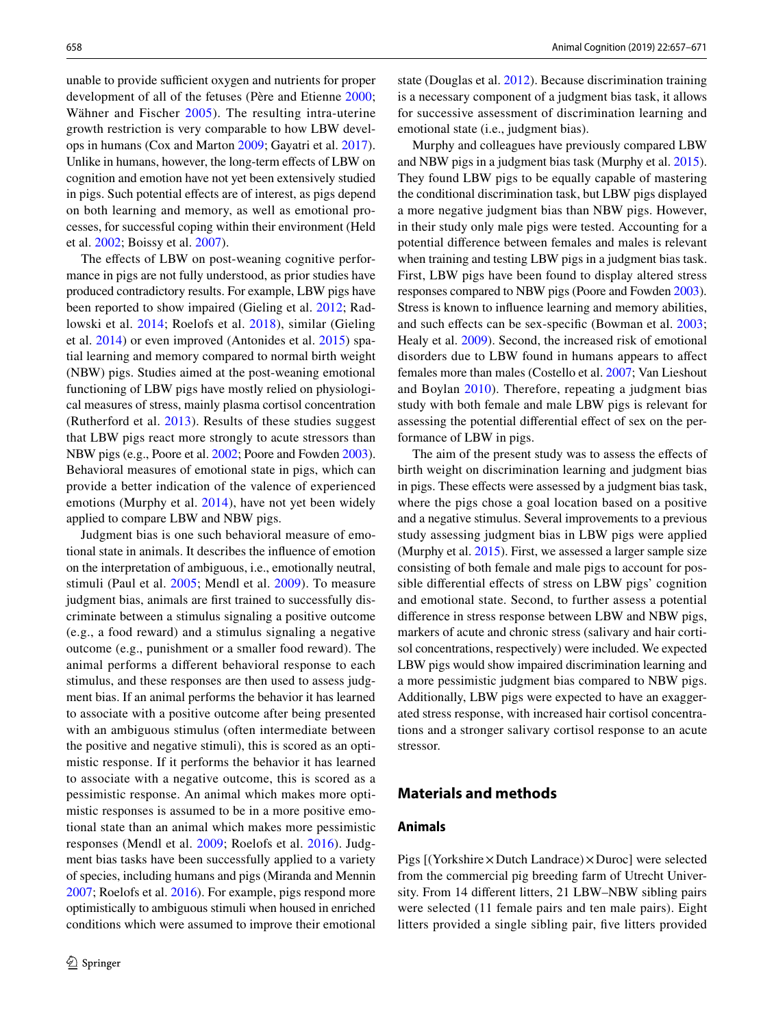unable to provide sufficient oxygen and nutrients for proper development of all of the fetuses (Père and Etienne [2000](#page-13-6); Wähner and Fischer [2005\)](#page-14-3). The resulting intra-uterine growth restriction is very comparable to how LBW develops in humans (Cox and Marton [2009](#page-12-1); Gayatri et al. [2017](#page-12-2)). Unlike in humans, however, the long-term effects of LBW on cognition and emotion have not yet been extensively studied in pigs. Such potential efects are of interest, as pigs depend on both learning and memory, as well as emotional processes, for successful coping within their environment (Held et al. [2002](#page-13-7); Boissy et al. [2007\)](#page-12-3).

The effects of LBW on post-weaning cognitive performance in pigs are not fully understood, as prior studies have produced contradictory results. For example, LBW pigs have been reported to show impaired (Gieling et al. [2012;](#page-12-4) Radlowski et al. [2014](#page-13-8); Roelofs et al. [2018\)](#page-14-4), similar (Gieling et al. [2014](#page-12-5)) or even improved (Antonides et al. [2015\)](#page-12-6) spatial learning and memory compared to normal birth weight (NBW) pigs. Studies aimed at the post-weaning emotional functioning of LBW pigs have mostly relied on physiological measures of stress, mainly plasma cortisol concentration (Rutherford et al. [2013](#page-14-2)). Results of these studies suggest that LBW pigs react more strongly to acute stressors than NBW pigs (e.g., Poore et al. [2002](#page-13-9); Poore and Fowden [2003](#page-13-10)). Behavioral measures of emotional state in pigs, which can provide a better indication of the valence of experienced emotions (Murphy et al. [2014\)](#page-13-11), have not yet been widely applied to compare LBW and NBW pigs.

Judgment bias is one such behavioral measure of emotional state in animals. It describes the infuence of emotion on the interpretation of ambiguous, i.e., emotionally neutral, stimuli (Paul et al. [2005;](#page-13-12) Mendl et al. [2009\)](#page-13-13). To measure judgment bias, animals are frst trained to successfully discriminate between a stimulus signaling a positive outcome (e.g., a food reward) and a stimulus signaling a negative outcome (e.g., punishment or a smaller food reward). The animal performs a diferent behavioral response to each stimulus, and these responses are then used to assess judgment bias. If an animal performs the behavior it has learned to associate with a positive outcome after being presented with an ambiguous stimulus (often intermediate between the positive and negative stimuli), this is scored as an optimistic response. If it performs the behavior it has learned to associate with a negative outcome, this is scored as a pessimistic response. An animal which makes more optimistic responses is assumed to be in a more positive emotional state than an animal which makes more pessimistic responses (Mendl et al. [2009](#page-13-13); Roelofs et al. [2016](#page-13-14)). Judgment bias tasks have been successfully applied to a variety of species, including humans and pigs (Miranda and Mennin [2007](#page-13-15); Roelofs et al. [2016\)](#page-13-14). For example, pigs respond more optimistically to ambiguous stimuli when housed in enriched conditions which were assumed to improve their emotional

state (Douglas et al. [2012](#page-12-7)). Because discrimination training is a necessary component of a judgment bias task, it allows for successive assessment of discrimination learning and emotional state (i.e., judgment bias).

Murphy and colleagues have previously compared LBW and NBW pigs in a judgment bias task (Murphy et al. [2015](#page-13-16)). They found LBW pigs to be equally capable of mastering the conditional discrimination task, but LBW pigs displayed a more negative judgment bias than NBW pigs. However, in their study only male pigs were tested. Accounting for a potential diference between females and males is relevant when training and testing LBW pigs in a judgment bias task. First, LBW pigs have been found to display altered stress responses compared to NBW pigs (Poore and Fowden [2003](#page-13-10)). Stress is known to infuence learning and memory abilities, and such efects can be sex-specifc (Bowman et al. [2003](#page-12-8); Healy et al. [2009](#page-12-9)). Second, the increased risk of emotional disorders due to LBW found in humans appears to afect females more than males (Costello et al. [2007](#page-12-10); Van Lieshout and Boylan [2010](#page-14-5)). Therefore, repeating a judgment bias study with both female and male LBW pigs is relevant for assessing the potential diferential efect of sex on the performance of LBW in pigs.

The aim of the present study was to assess the efects of birth weight on discrimination learning and judgment bias in pigs. These effects were assessed by a judgment bias task, where the pigs chose a goal location based on a positive and a negative stimulus. Several improvements to a previous study assessing judgment bias in LBW pigs were applied (Murphy et al. [2015](#page-13-16)). First, we assessed a larger sample size consisting of both female and male pigs to account for possible diferential efects of stress on LBW pigs' cognition and emotional state. Second, to further assess a potential diference in stress response between LBW and NBW pigs, markers of acute and chronic stress (salivary and hair cortisol concentrations, respectively) were included. We expected LBW pigs would show impaired discrimination learning and a more pessimistic judgment bias compared to NBW pigs. Additionally, LBW pigs were expected to have an exaggerated stress response, with increased hair cortisol concentrations and a stronger salivary cortisol response to an acute stressor.

# **Materials and methods**

#### **Animals**

Pigs  $[(Yorkshire \times Dutch Landrace) \times Duroc]$  were selected from the commercial pig breeding farm of Utrecht University. From 14 diferent litters, 21 LBW–NBW sibling pairs were selected (11 female pairs and ten male pairs). Eight litters provided a single sibling pair, fve litters provided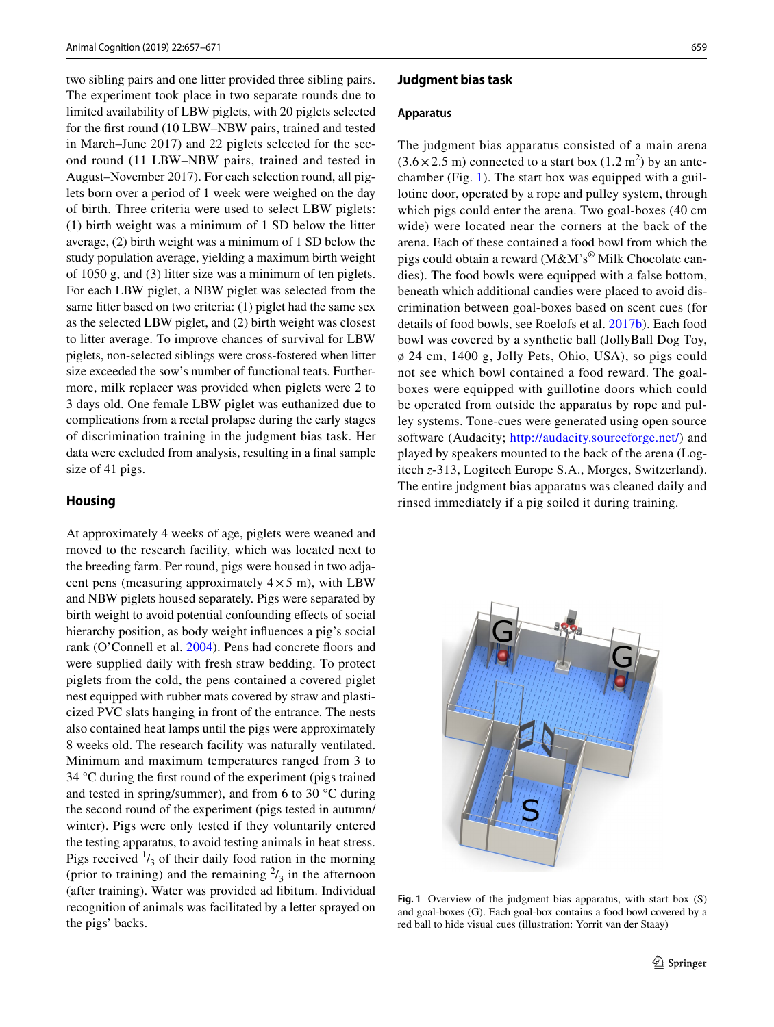two sibling pairs and one litter provided three sibling pairs. The experiment took place in two separate rounds due to limited availability of LBW piglets, with 20 piglets selected for the frst round (10 LBW–NBW pairs, trained and tested in March–June 2017) and 22 piglets selected for the second round (11 LBW–NBW pairs, trained and tested in August–November 2017). For each selection round, all piglets born over a period of 1 week were weighed on the day of birth. Three criteria were used to select LBW piglets: (1) birth weight was a minimum of 1 SD below the litter average, (2) birth weight was a minimum of 1 SD below the study population average, yielding a maximum birth weight of 1050 g, and (3) litter size was a minimum of ten piglets. For each LBW piglet, a NBW piglet was selected from the same litter based on two criteria: (1) piglet had the same sex as the selected LBW piglet, and (2) birth weight was closest to litter average. To improve chances of survival for LBW piglets, non-selected siblings were cross-fostered when litter size exceeded the sow's number of functional teats. Furthermore, milk replacer was provided when piglets were 2 to 3 days old. One female LBW piglet was euthanized due to complications from a rectal prolapse during the early stages of discrimination training in the judgment bias task. Her data were excluded from analysis, resulting in a fnal sample size of 41 pigs.

#### **Housing**

At approximately 4 weeks of age, piglets were weaned and moved to the research facility, which was located next to the breeding farm. Per round, pigs were housed in two adjacent pens (measuring approximately  $4 \times 5$  m), with LBW and NBW piglets housed separately. Pigs were separated by birth weight to avoid potential confounding effects of social hierarchy position, as body weight infuences a pig's social rank (O'Connell et al. [2004\)](#page-13-17). Pens had concrete foors and were supplied daily with fresh straw bedding. To protect piglets from the cold, the pens contained a covered piglet nest equipped with rubber mats covered by straw and plasticized PVC slats hanging in front of the entrance. The nests also contained heat lamps until the pigs were approximately 8 weeks old. The research facility was naturally ventilated. Minimum and maximum temperatures ranged from 3 to 34 °C during the frst round of the experiment (pigs trained and tested in spring/summer), and from 6 to 30 °C during the second round of the experiment (pigs tested in autumn/ winter). Pigs were only tested if they voluntarily entered the testing apparatus, to avoid testing animals in heat stress. Pigs received  $\frac{1}{3}$  of their daily food ration in the morning (prior to training) and the remaining  $\frac{2}{3}$  in the afternoon (after training). Water was provided ad libitum. Individual recognition of animals was facilitated by a letter sprayed on the pigs' backs.

#### **Judgment bias task**

#### **Apparatus**

The judgment bias apparatus consisted of a main arena  $(3.6 \times 2.5 \text{ m})$  connected to a start box  $(1.2 \text{ m}^2)$  by an antechamber (Fig. [1\)](#page-2-0). The start box was equipped with a guillotine door, operated by a rope and pulley system, through which pigs could enter the arena. Two goal-boxes (40 cm wide) were located near the corners at the back of the arena. Each of these contained a food bowl from which the pigs could obtain a reward (M&M's® Milk Chocolate candies). The food bowls were equipped with a false bottom, beneath which additional candies were placed to avoid discrimination between goal-boxes based on scent cues (for details of food bowls, see Roelofs et al. [2017b\)](#page-14-6). Each food bowl was covered by a synthetic ball (JollyBall Dog Toy, ø 24 cm, 1400 g, Jolly Pets, Ohio, USA), so pigs could not see which bowl contained a food reward. The goalboxes were equipped with guillotine doors which could be operated from outside the apparatus by rope and pulley systems. Tone-cues were generated using open source software (Audacity; [http://audacity.sourceforge.net/\)](http://audacity.sourceforge.net/) and played by speakers mounted to the back of the arena (Logitech *z*-313, Logitech Europe S.A., Morges, Switzerland). The entire judgment bias apparatus was cleaned daily and rinsed immediately if a pig soiled it during training.



<span id="page-2-0"></span>Fig. 1 Overview of the judgment bias apparatus, with start box (S) and goal-boxes (G). Each goal-box contains a food bowl covered by a red ball to hide visual cues (illustration: Yorrit van der Staay)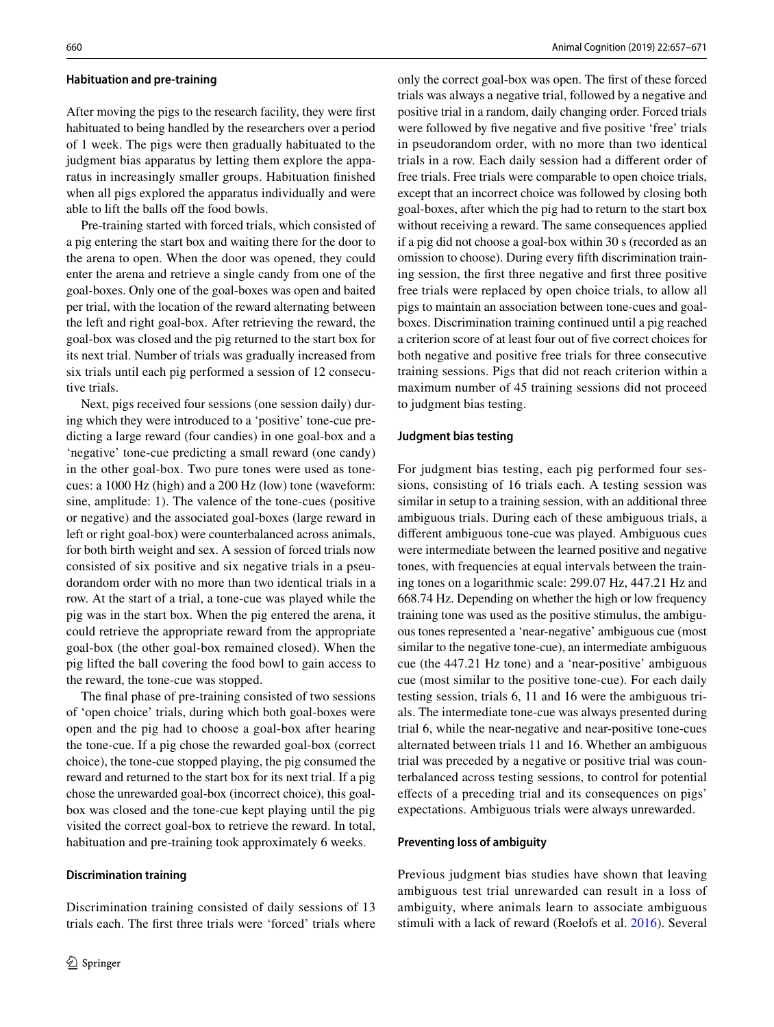#### **Habituation and pre‑training**

After moving the pigs to the research facility, they were frst habituated to being handled by the researchers over a period of 1 week. The pigs were then gradually habituated to the judgment bias apparatus by letting them explore the apparatus in increasingly smaller groups. Habituation fnished when all pigs explored the apparatus individually and were able to lift the balls off the food bowls.

Pre-training started with forced trials, which consisted of a pig entering the start box and waiting there for the door to the arena to open. When the door was opened, they could enter the arena and retrieve a single candy from one of the goal-boxes. Only one of the goal-boxes was open and baited per trial, with the location of the reward alternating between the left and right goal-box. After retrieving the reward, the goal-box was closed and the pig returned to the start box for its next trial. Number of trials was gradually increased from six trials until each pig performed a session of 12 consecutive trials.

Next, pigs received four sessions (one session daily) during which they were introduced to a 'positive' tone-cue predicting a large reward (four candies) in one goal-box and a 'negative' tone-cue predicting a small reward (one candy) in the other goal-box. Two pure tones were used as tonecues: a 1000 Hz (high) and a 200 Hz (low) tone (waveform: sine, amplitude: 1). The valence of the tone-cues (positive or negative) and the associated goal-boxes (large reward in left or right goal-box) were counterbalanced across animals, for both birth weight and sex. A session of forced trials now consisted of six positive and six negative trials in a pseudorandom order with no more than two identical trials in a row. At the start of a trial, a tone-cue was played while the pig was in the start box. When the pig entered the arena, it could retrieve the appropriate reward from the appropriate goal-box (the other goal-box remained closed). When the pig lifted the ball covering the food bowl to gain access to the reward, the tone-cue was stopped.

The fnal phase of pre-training consisted of two sessions of 'open choice' trials, during which both goal-boxes were open and the pig had to choose a goal-box after hearing the tone-cue. If a pig chose the rewarded goal-box (correct choice), the tone-cue stopped playing, the pig consumed the reward and returned to the start box for its next trial. If a pig chose the unrewarded goal-box (incorrect choice), this goalbox was closed and the tone-cue kept playing until the pig visited the correct goal-box to retrieve the reward. In total, habituation and pre-training took approximately 6 weeks.

#### **Discrimination training**

Discrimination training consisted of daily sessions of 13 trials each. The frst three trials were 'forced' trials where

only the correct goal-box was open. The frst of these forced trials was always a negative trial, followed by a negative and positive trial in a random, daily changing order. Forced trials were followed by fve negative and fve positive 'free' trials in pseudorandom order, with no more than two identical trials in a row. Each daily session had a diferent order of free trials. Free trials were comparable to open choice trials, except that an incorrect choice was followed by closing both goal-boxes, after which the pig had to return to the start box without receiving a reward. The same consequences applied if a pig did not choose a goal-box within 30 s (recorded as an omission to choose). During every ffth discrimination training session, the frst three negative and frst three positive free trials were replaced by open choice trials, to allow all pigs to maintain an association between tone-cues and goalboxes. Discrimination training continued until a pig reached a criterion score of at least four out of fve correct choices for both negative and positive free trials for three consecutive training sessions. Pigs that did not reach criterion within a maximum number of 45 training sessions did not proceed to judgment bias testing.

#### **Judgment bias testing**

For judgment bias testing, each pig performed four sessions, consisting of 16 trials each. A testing session was similar in setup to a training session, with an additional three ambiguous trials. During each of these ambiguous trials, a diferent ambiguous tone-cue was played. Ambiguous cues were intermediate between the learned positive and negative tones, with frequencies at equal intervals between the training tones on a logarithmic scale: 299.07 Hz, 447.21 Hz and 668.74 Hz. Depending on whether the high or low frequency training tone was used as the positive stimulus, the ambiguous tones represented a 'near-negative' ambiguous cue (most similar to the negative tone-cue), an intermediate ambiguous cue (the 447.21 Hz tone) and a 'near-positive' ambiguous cue (most similar to the positive tone-cue). For each daily testing session, trials 6, 11 and 16 were the ambiguous trials. The intermediate tone-cue was always presented during trial 6, while the near-negative and near-positive tone-cues alternated between trials 11 and 16. Whether an ambiguous trial was preceded by a negative or positive trial was counterbalanced across testing sessions, to control for potential efects of a preceding trial and its consequences on pigs' expectations. Ambiguous trials were always unrewarded.

#### **Preventing loss of ambiguity**

Previous judgment bias studies have shown that leaving ambiguous test trial unrewarded can result in a loss of ambiguity, where animals learn to associate ambiguous stimuli with a lack of reward (Roelofs et al. [2016\)](#page-13-14). Several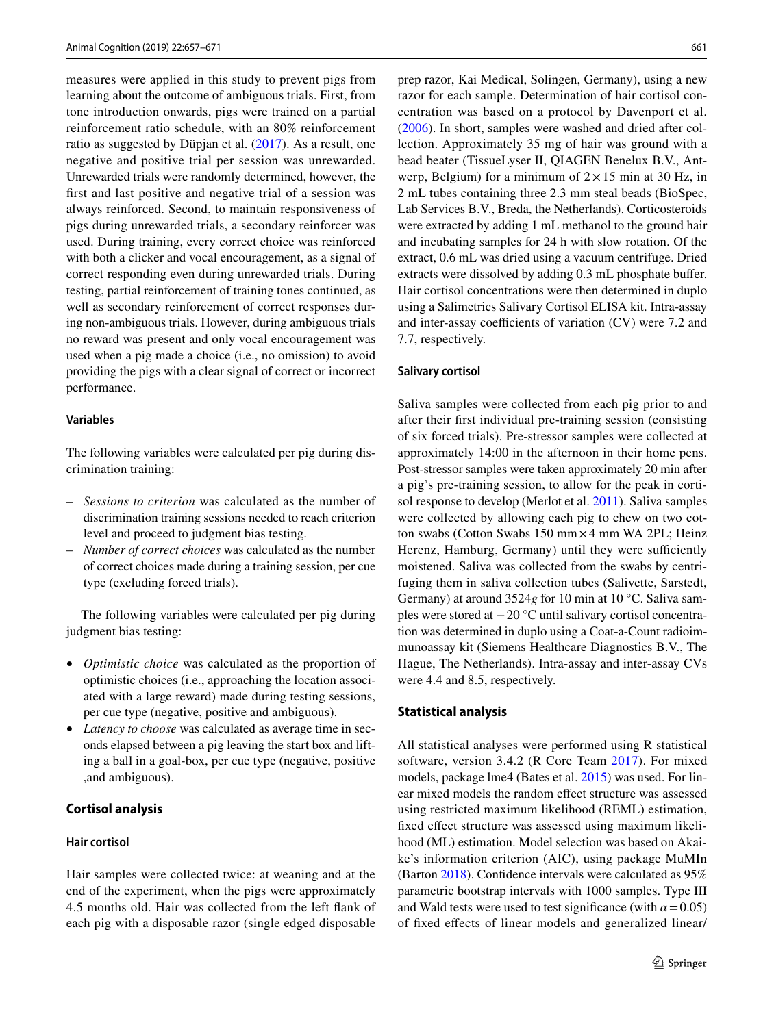measures were applied in this study to prevent pigs from learning about the outcome of ambiguous trials. First, from tone introduction onwards, pigs were trained on a partial reinforcement ratio schedule, with an 80% reinforcement ratio as suggested by Düpjan et al. ([2017](#page-12-11)). As a result, one negative and positive trial per session was unrewarded. Unrewarded trials were randomly determined, however, the frst and last positive and negative trial of a session was always reinforced. Second, to maintain responsiveness of pigs during unrewarded trials, a secondary reinforcer was used. During training, every correct choice was reinforced with both a clicker and vocal encouragement, as a signal of correct responding even during unrewarded trials. During testing, partial reinforcement of training tones continued, as well as secondary reinforcement of correct responses during non-ambiguous trials. However, during ambiguous trials no reward was present and only vocal encouragement was used when a pig made a choice (i.e., no omission) to avoid providing the pigs with a clear signal of correct or incorrect performance.

#### **Variables**

The following variables were calculated per pig during discrimination training:

- *Sessions to criterion* was calculated as the number of discrimination training sessions needed to reach criterion level and proceed to judgment bias testing.
- *Number of correct choices* was calculated as the number of correct choices made during a training session, per cue type (excluding forced trials).

The following variables were calculated per pig during judgment bias testing:

- *Optimistic choice* was calculated as the proportion of optimistic choices (i.e., approaching the location associated with a large reward) made during testing sessions, per cue type (negative, positive and ambiguous).
- *Latency to choose* was calculated as average time in seconds elapsed between a pig leaving the start box and lifting a ball in a goal-box, per cue type (negative, positive ,and ambiguous).

## **Cortisol analysis**

#### **Hair cortisol**

Hair samples were collected twice: at weaning and at the end of the experiment, when the pigs were approximately 4.5 months old. Hair was collected from the left fank of each pig with a disposable razor (single edged disposable prep razor, Kai Medical, Solingen, Germany), using a new razor for each sample. Determination of hair cortisol concentration was based on a protocol by Davenport et al. ([2006\)](#page-12-12). In short, samples were washed and dried after collection. Approximately 35 mg of hair was ground with a bead beater (TissueLyser II, QIAGEN Benelux B.V., Antwerp, Belgium) for a minimum of  $2 \times 15$  min at 30 Hz, in 2 mL tubes containing three 2.3 mm steal beads (BioSpec, Lab Services B.V., Breda, the Netherlands). Corticosteroids were extracted by adding 1 mL methanol to the ground hair and incubating samples for 24 h with slow rotation. Of the extract, 0.6 mL was dried using a vacuum centrifuge. Dried extracts were dissolved by adding 0.3 mL phosphate bufer. Hair cortisol concentrations were then determined in duplo using a Salimetrics Salivary Cortisol ELISA kit. Intra-assay and inter-assay coefficients of variation  $(CV)$  were 7.2 and 7.7, respectively.

#### **Salivary cortisol**

Saliva samples were collected from each pig prior to and after their frst individual pre-training session (consisting of six forced trials). Pre-stressor samples were collected at approximately 14:00 in the afternoon in their home pens. Post-stressor samples were taken approximately 20 min after a pig's pre-training session, to allow for the peak in cortisol response to develop (Merlot et al. [2011](#page-13-18)). Saliva samples were collected by allowing each pig to chew on two cotton swabs (Cotton Swabs 150 mm × 4 mm WA 2PL; Heinz Herenz, Hamburg, Germany) until they were sufficiently moistened. Saliva was collected from the swabs by centrifuging them in saliva collection tubes (Salivette, Sarstedt, Germany) at around 3524*g* for 10 min at 10 °C. Saliva samples were stored at −20 °C until salivary cortisol concentration was determined in duplo using a Coat-a-Count radioimmunoassay kit (Siemens Healthcare Diagnostics B.V., The Hague, The Netherlands). Intra-assay and inter-assay CVs were 4.4 and 8.5, respectively.

#### **Statistical analysis**

All statistical analyses were performed using R statistical software, version 3.4.2 (R Core Team [2017](#page-13-19)). For mixed models, package lme4 (Bates et al. [2015](#page-12-13)) was used. For linear mixed models the random efect structure was assessed using restricted maximum likelihood (REML) estimation, fixed effect structure was assessed using maximum likelihood (ML) estimation. Model selection was based on Akaike's information criterion (AIC), using package MuMIn (Barton [2018](#page-12-14)). Confdence intervals were calculated as 95% parametric bootstrap intervals with 1000 samples. Type III and Wald tests were used to test significance (with  $\alpha = 0.05$ ) of fxed efects of linear models and generalized linear/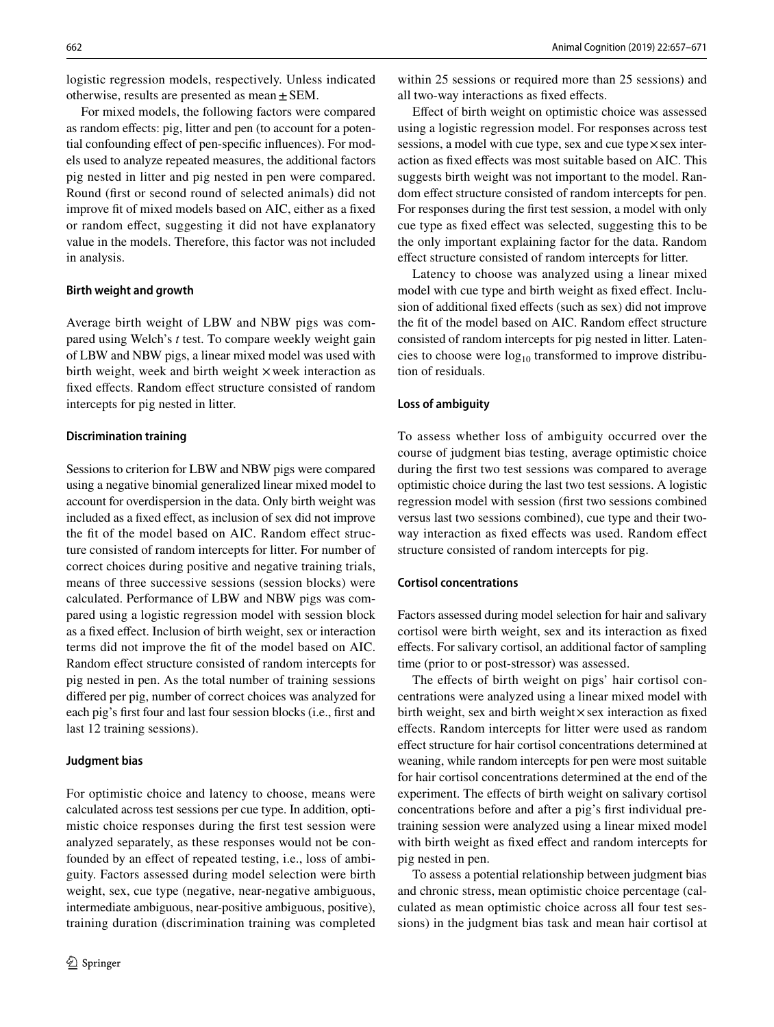logistic regression models, respectively. Unless indicated otherwise, results are presented as mean  $\pm$  SEM.

For mixed models, the following factors were compared as random efects: pig, litter and pen (to account for a potential confounding efect of pen-specifc infuences). For models used to analyze repeated measures, the additional factors pig nested in litter and pig nested in pen were compared. Round (frst or second round of selected animals) did not improve ft of mixed models based on AIC, either as a fxed or random efect, suggesting it did not have explanatory value in the models. Therefore, this factor was not included in analysis.

## **Birth weight and growth**

Average birth weight of LBW and NBW pigs was compared using Welch's *t* test. To compare weekly weight gain of LBW and NBW pigs, a linear mixed model was used with birth weight, week and birth weight  $\times$  week interaction as fxed efects. Random efect structure consisted of random intercepts for pig nested in litter.

#### **Discrimination training**

Sessions to criterion for LBW and NBW pigs were compared using a negative binomial generalized linear mixed model to account for overdispersion in the data. Only birth weight was included as a fxed efect, as inclusion of sex did not improve the fit of the model based on AIC. Random effect structure consisted of random intercepts for litter. For number of correct choices during positive and negative training trials, means of three successive sessions (session blocks) were calculated. Performance of LBW and NBW pigs was compared using a logistic regression model with session block as a fxed efect. Inclusion of birth weight, sex or interaction terms did not improve the ft of the model based on AIC. Random effect structure consisted of random intercepts for pig nested in pen. As the total number of training sessions difered per pig, number of correct choices was analyzed for each pig's frst four and last four session blocks (i.e., frst and last 12 training sessions).

#### **Judgment bias**

For optimistic choice and latency to choose, means were calculated across test sessions per cue type. In addition, optimistic choice responses during the frst test session were analyzed separately, as these responses would not be confounded by an efect of repeated testing, i.e., loss of ambiguity. Factors assessed during model selection were birth weight, sex, cue type (negative, near-negative ambiguous, intermediate ambiguous, near-positive ambiguous, positive), training duration (discrimination training was completed within 25 sessions or required more than 25 sessions) and all two-way interactions as fxed efects.

Efect of birth weight on optimistic choice was assessed using a logistic regression model. For responses across test sessions, a model with cue type, sex and cue type $\times$ sex interaction as fxed efects was most suitable based on AIC. This suggests birth weight was not important to the model. Random efect structure consisted of random intercepts for pen. For responses during the frst test session, a model with only cue type as fxed efect was selected, suggesting this to be the only important explaining factor for the data. Random efect structure consisted of random intercepts for litter.

Latency to choose was analyzed using a linear mixed model with cue type and birth weight as fixed effect. Inclusion of additional fxed efects (such as sex) did not improve the fit of the model based on AIC. Random effect structure consisted of random intercepts for pig nested in litter. Latencies to choose were  $log_{10}$  transformed to improve distribution of residuals.

## **Loss of ambiguity**

To assess whether loss of ambiguity occurred over the course of judgment bias testing, average optimistic choice during the frst two test sessions was compared to average optimistic choice during the last two test sessions. A logistic regression model with session (frst two sessions combined versus last two sessions combined), cue type and their twoway interaction as fxed efects was used. Random efect structure consisted of random intercepts for pig.

#### **Cortisol concentrations**

Factors assessed during model selection for hair and salivary cortisol were birth weight, sex and its interaction as fxed efects. For salivary cortisol, an additional factor of sampling time (prior to or post-stressor) was assessed.

The effects of birth weight on pigs' hair cortisol concentrations were analyzed using a linear mixed model with birth weight, sex and birth weight $\times$ sex interaction as fixed efects. Random intercepts for litter were used as random efect structure for hair cortisol concentrations determined at weaning, while random intercepts for pen were most suitable for hair cortisol concentrations determined at the end of the experiment. The effects of birth weight on salivary cortisol concentrations before and after a pig's frst individual pretraining session were analyzed using a linear mixed model with birth weight as fxed efect and random intercepts for pig nested in pen.

To assess a potential relationship between judgment bias and chronic stress, mean optimistic choice percentage (calculated as mean optimistic choice across all four test sessions) in the judgment bias task and mean hair cortisol at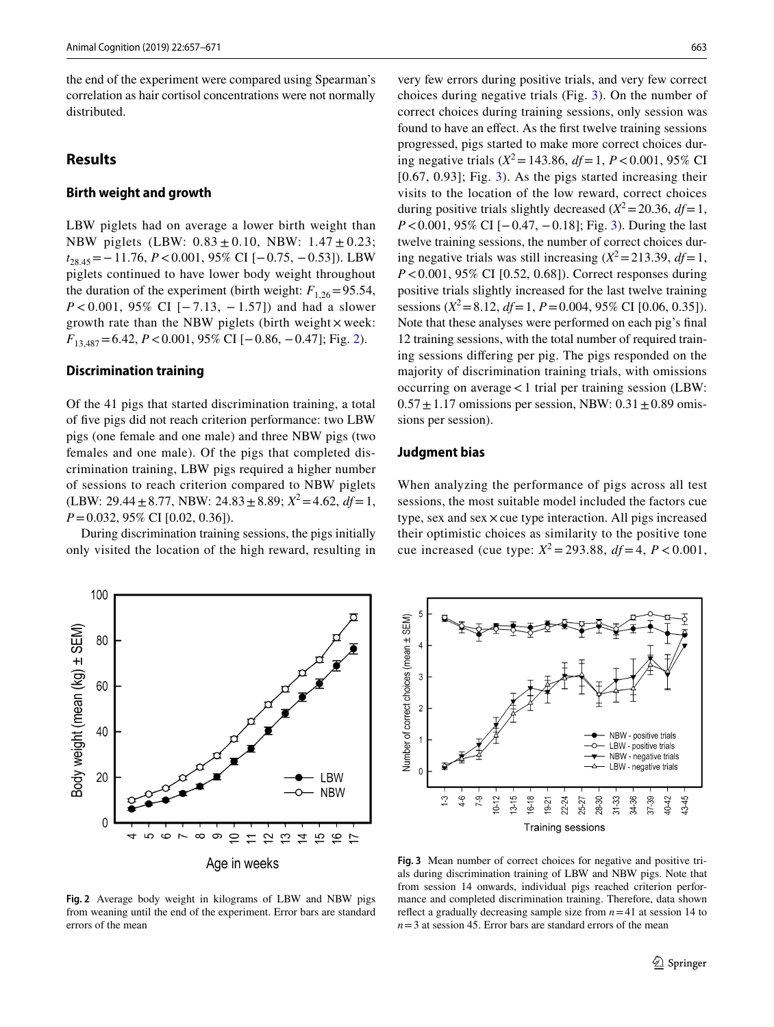the end of the experiment were compared using Spearman's correlation as hair cortisol concentrations were not normally distributed.

# **Results**

## **Birth weight and growth**

LBW piglets had on average a lower birth weight than NBW piglets (LBW:  $0.83 \pm 0.10$ , NBW:  $1.47 \pm 0.23$ ; *t*28.45=−11.76, *P*<0.001, 95% CI [−0.75, −0.53]). LBW piglets continued to have lower body weight throughout the duration of the experiment (birth weight:  $F_{1,26} = 95.54$ , *P* < 0.001, 95% CI [−7.13, −1.57]) and had a slower growth rate than the NBW piglets (birth weight  $\times$  week: *F*<sub>13,487</sub> = 6.42, *P* < 0.001, 95% CI [−0.86, −0.47]; Fig. [2](#page-6-0)).

## **Discrimination training**

Of the 41 pigs that started discrimination training, a total of fve pigs did not reach criterion performance: two LBW pigs (one female and one male) and three NBW pigs (two females and one male). Of the pigs that completed discrimination training, LBW pigs required a higher number of sessions to reach criterion compared to NBW piglets (LBW: 29.44  $\pm$  8.77, NBW: 24.83  $\pm$  8.89;  $X^2$  = 4.62,  $df$  = 1, *P*=0.032, 95% CI [0.02, 0.36]).

During discrimination training sessions, the pigs initially only visited the location of the high reward, resulting in



very few errors during positive trials, and very few correct choices during negative trials (Fig. [3\)](#page-6-1). On the number of correct choices during training sessions, only session was found to have an efect. As the frst twelve training sessions progressed, pigs started to make more correct choices during negative trials  $(X^2 = 143.86, df = 1, P < 0.001, 95\%$  CI  $[0.67, 0.93]$ ; Fig. [3\)](#page-6-1). As the pigs started increasing their visits to the location of the low reward, correct choices during positive trials slightly decreased  $(X^2 = 20.36, df = 1,$ *P* < 0.001, 95% CI [−0.47, −0.18]; Fig. [3](#page-6-1)). During the last twelve training sessions, the number of correct choices during negative trials was still increasing  $(X^2 = 213.39, df = 1,$ *P*<0.001, 95% CI [0.52, 0.68]). Correct responses during positive trials slightly increased for the last twelve training sessions ( $X^2 = 8.12$ ,  $df = 1$ ,  $P = 0.004$ , 95% CI [0.06, 0.35]). Note that these analyses were performed on each pig's fnal 12 training sessions, with the total number of required training sessions difering per pig. The pigs responded on the majority of discrimination training trials, with omissions occurring on average<1 trial per training session (LBW:  $0.57 \pm 1.17$  omissions per session, NBW:  $0.31 \pm 0.89$  omissions per session).

## **Judgment bias**

When analyzing the performance of pigs across all test sessions, the most suitable model included the factors cue type, sex and sex×cue type interaction. All pigs increased their optimistic choices as similarity to the positive tone cue increased (cue type:  $X^2 = 293.88$ ,  $df = 4$ ,  $P < 0.001$ ,



<span id="page-6-0"></span>**Fig. 2** Average body weight in kilograms of LBW and NBW pigs from weaning until the end of the experiment. Error bars are standard errors of the mean

<span id="page-6-1"></span>**Fig. 3** Mean number of correct choices for negative and positive trials during discrimination training of LBW and NBW pigs. Note that from session 14 onwards, individual pigs reached criterion performance and completed discrimination training. Therefore, data shown reflect a gradually decreasing sample size from  $n=41$  at session 14 to  $n=3$  at session 45. Error bars are standard errors of the mean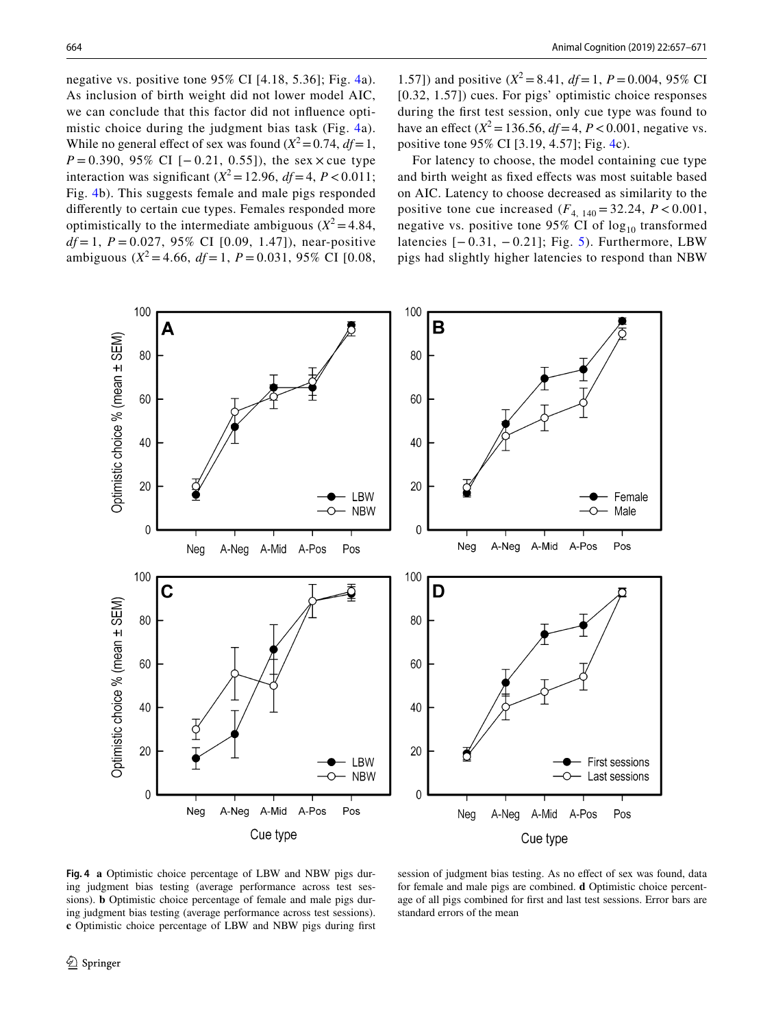negative vs. positive tone 95% CI [4.18, 5.36]; Fig. [4](#page-7-0)a). As inclusion of birth weight did not lower model AIC, we can conclude that this factor did not infuence optimistic choice during the judgment bias task (Fig. [4](#page-7-0)a). While no general effect of sex was found  $(X^2 = 0.74, df = 1$ , *P* = 0.390, 95% CI [− 0.21, 0.55]), the sex × cue type interaction was significant  $(X^2 = 12.96, df = 4, P < 0.011;$ Fig. [4](#page-7-0)b). This suggests female and male pigs responded diferently to certain cue types. Females responded more optimistically to the intermediate ambiguous  $(X^2 = 4.84,$ *df* = 1, *P* = 0.027, 95% CI [0.09, 1.47]), near-positive ambiguous ( $X^2 = 4.66$ ,  $df = 1$ ,  $P = 0.031$ , 95% CI [0.08,

1.57]) and positive  $(X^2 = 8.41, df = 1, P = 0.004, 95\%$  CI [0.32, 1.57]) cues. For pigs' optimistic choice responses during the frst test session, only cue type was found to have an effect ( $X^2 = 136.56$ ,  $df = 4$ ,  $P < 0.001$ , negative vs. positive tone 95% CI [3.19, 4.57]; Fig. [4](#page-7-0)c).

For latency to choose, the model containing cue type and birth weight as fxed efects was most suitable based on AIC. Latency to choose decreased as similarity to the positive tone cue increased  $(F_{4, 140} = 32.24, P < 0.001,$ negative vs. positive tone 95% CI of  $log_{10}$  transformed latencies  $[-0.31, -0.21]$ ; Fig. [5\)](#page-8-0). Furthermore, LBW pigs had slightly higher latencies to respond than NBW



<span id="page-7-0"></span>**Fig. 4 a** Optimistic choice percentage of LBW and NBW pigs during judgment bias testing (average performance across test sessions). **b** Optimistic choice percentage of female and male pigs during judgment bias testing (average performance across test sessions). **c** Optimistic choice percentage of LBW and NBW pigs during frst

session of judgment bias testing. As no effect of sex was found, data for female and male pigs are combined. **d** Optimistic choice percentage of all pigs combined for frst and last test sessions. Error bars are standard errors of the mean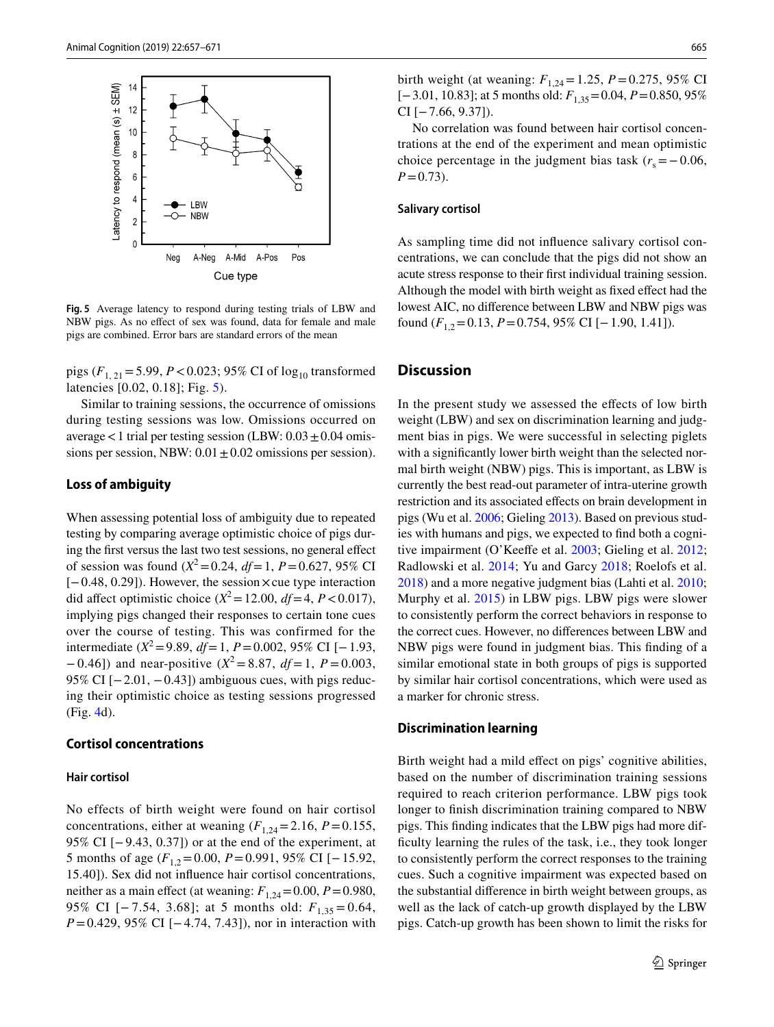

<span id="page-8-0"></span>**Fig. 5** Average latency to respond during testing trials of LBW and NBW pigs. As no effect of sex was found, data for female and male pigs are combined. Error bars are standard errors of the mean

pigs  $(F_{1, 21} = 5.99, P < 0.023; 95\% \text{ CI of } \log_{10} \text{ transformed}$ latencies [0.02, 0.18]; Fig. [5\)](#page-8-0).

Similar to training sessions, the occurrence of omissions during testing sessions was low. Omissions occurred on average < 1 trial per testing session (LBW:  $0.03 \pm 0.04$  omissions per session, NBW:  $0.01 \pm 0.02$  omissions per session).

#### **Loss of ambiguity**

When assessing potential loss of ambiguity due to repeated testing by comparing average optimistic choice of pigs during the frst versus the last two test sessions, no general efect of session was found  $(X^2 = 0.24, df = 1, P = 0.627, 95\% \text{ CI}$ [−0.48, 0.29]). However, the session×cue type interaction did affect optimistic choice  $(X^2 = 12.00, df = 4, P < 0.017)$ , implying pigs changed their responses to certain tone cues over the course of testing. This was confirmed for the intermediate ( $X^2$ =9.89, *df* = 1, *P* = 0.002, 95% CI [−1.93, − 0.46]) and near-positive (*X*2= 8.87, *df* = 1, *P* = 0.003, 95% CI  $[-2.01, -0.43]$ ) ambiguous cues, with pigs reducing their optimistic choice as testing sessions progressed (Fig. [4d](#page-7-0)).

### **Cortisol concentrations**

#### **Hair cortisol**

No effects of birth weight were found on hair cortisol concentrations, either at weaning  $(F_{1,24}=2.16, P=0.155,$ 95% CI [−9.43, 0.37]) or at the end of the experiment, at 5 months of age ( $F_{1,2}$ =0.00, *P* = 0.991, 95% CI [−15.92, 15.40]). Sex did not infuence hair cortisol concentrations, neither as a main effect (at weaning:  $F_{1,24} = 0.00, P = 0.980,$ 95% CI [−7.54, 3.68]; at 5 months old:  $F_{1,35} = 0.64$ , *P* = 0.429, 95% CI [−4.74, 7.43]), nor in interaction with

birth weight (at weaning:  $F_{1,24} = 1.25$ ,  $P = 0.275$ , 95% CI [−3.01, 10.83]; at 5 months old:  $F_{1,35}=0.04$ ,  $P=0.850$ , 95% CI  $[-7.66, 9.37]$ ).

No correlation was found between hair cortisol concentrations at the end of the experiment and mean optimistic choice percentage in the judgment bias task  $(r<sub>s</sub>=-0.06,$  $P=0.73$ ).

#### **Salivary cortisol**

As sampling time did not infuence salivary cortisol concentrations, we can conclude that the pigs did not show an acute stress response to their frst individual training session. Although the model with birth weight as fxed efect had the lowest AIC, no diference between LBW and NBW pigs was found (*F*1,2=0.13, *P*=0.754, 95% CI [−1.90, 1.41]).

# **Discussion**

In the present study we assessed the efects of low birth weight (LBW) and sex on discrimination learning and judgment bias in pigs. We were successful in selecting piglets with a signifcantly lower birth weight than the selected normal birth weight (NBW) pigs. This is important, as LBW is currently the best read-out parameter of intra-uterine growth restriction and its associated efects on brain development in pigs (Wu et al. [2006](#page-14-7); Gieling [2013](#page-12-15)). Based on previous studies with humans and pigs, we expected to fnd both a cogni-tive impairment (O'Keeffe et al. [2003;](#page-13-0) Gieling et al. [2012](#page-12-4); Radlowski et al. [2014;](#page-13-8) Yu and Garcy [2018;](#page-14-0) Roelofs et al. [2018](#page-14-4)) and a more negative judgment bias (Lahti et al. [2010](#page-13-3); Murphy et al. [2015](#page-13-16)) in LBW pigs. LBW pigs were slower to consistently perform the correct behaviors in response to the correct cues. However, no diferences between LBW and NBW pigs were found in judgment bias. This fnding of a similar emotional state in both groups of pigs is supported by similar hair cortisol concentrations, which were used as a marker for chronic stress.

## **Discrimination learning**

Birth weight had a mild effect on pigs' cognitive abilities, based on the number of discrimination training sessions required to reach criterion performance. LBW pigs took longer to fnish discrimination training compared to NBW pigs. This fnding indicates that the LBW pigs had more difficulty learning the rules of the task, i.e., they took longer to consistently perform the correct responses to the training cues. Such a cognitive impairment was expected based on the substantial diference in birth weight between groups, as well as the lack of catch-up growth displayed by the LBW pigs. Catch-up growth has been shown to limit the risks for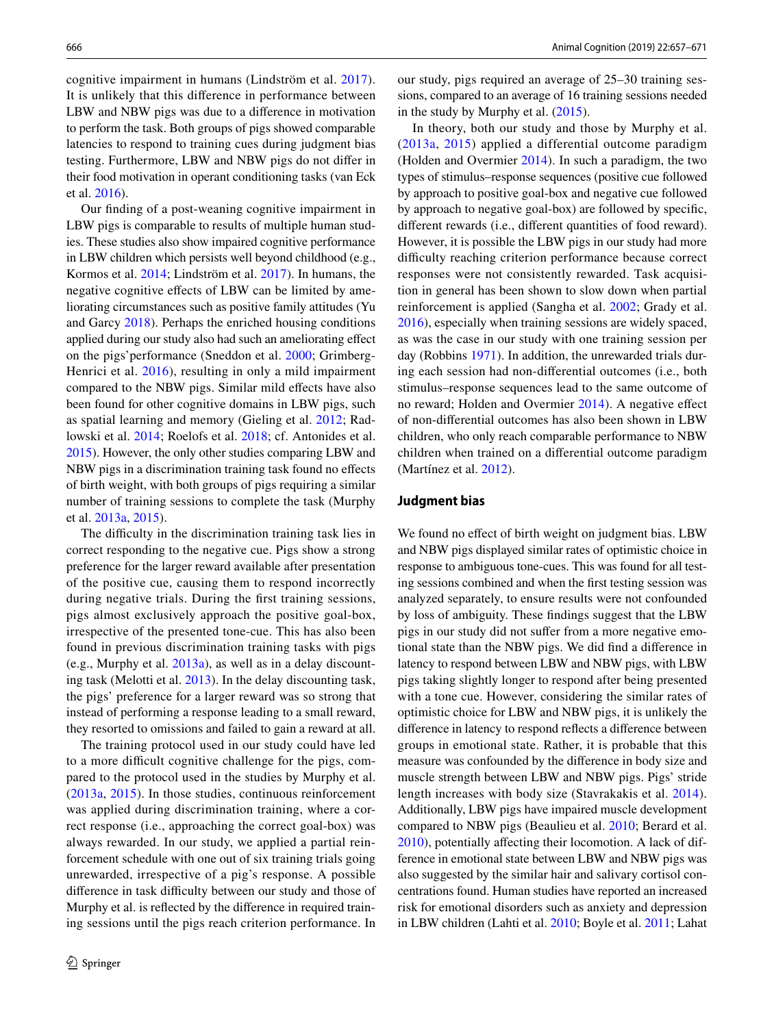cognitive impairment in humans (Lindström et al. [2017](#page-13-2)). It is unlikely that this diference in performance between LBW and NBW pigs was due to a diference in motivation to perform the task. Both groups of pigs showed comparable latencies to respond to training cues during judgment bias testing. Furthermore, LBW and NBW pigs do not difer in their food motivation in operant conditioning tasks (van Eck et al. [2016](#page-14-8)).

Our fnding of a post-weaning cognitive impairment in LBW pigs is comparable to results of multiple human studies. These studies also show impaired cognitive performance in LBW children which persists well beyond childhood (e.g., Kormos et al. [2014;](#page-13-20) Lindström et al. [2017\)](#page-13-2). In humans, the negative cognitive efects of LBW can be limited by ameliorating circumstances such as positive family attitudes (Yu and Garcy [2018](#page-14-0)). Perhaps the enriched housing conditions applied during our study also had such an ameliorating efect on the pigs'performance (Sneddon et al. [2000](#page-14-9); Grimberg-Henrici et al. [2016](#page-12-16)), resulting in only a mild impairment compared to the NBW pigs. Similar mild efects have also been found for other cognitive domains in LBW pigs, such as spatial learning and memory (Gieling et al. [2012;](#page-12-4) Radlowski et al. [2014](#page-13-8); Roelofs et al. [2018](#page-14-4); cf. Antonides et al. [2015\)](#page-12-6). However, the only other studies comparing LBW and NBW pigs in a discrimination training task found no efects of birth weight, with both groups of pigs requiring a similar number of training sessions to complete the task (Murphy et al. [2013a,](#page-13-21) [2015\)](#page-13-16).

The difficulty in the discrimination training task lies in correct responding to the negative cue. Pigs show a strong preference for the larger reward available after presentation of the positive cue, causing them to respond incorrectly during negative trials. During the frst training sessions, pigs almost exclusively approach the positive goal-box, irrespective of the presented tone-cue. This has also been found in previous discrimination training tasks with pigs (e.g., Murphy et al. [2013a](#page-13-21)), as well as in a delay discounting task (Melotti et al. [2013\)](#page-13-22). In the delay discounting task, the pigs' preference for a larger reward was so strong that instead of performing a response leading to a small reward, they resorted to omissions and failed to gain a reward at all.

The training protocol used in our study could have led to a more difficult cognitive challenge for the pigs, compared to the protocol used in the studies by Murphy et al. [\(2013a](#page-13-21), [2015](#page-13-16)). In those studies, continuous reinforcement was applied during discrimination training, where a correct response (i.e., approaching the correct goal-box) was always rewarded. In our study, we applied a partial reinforcement schedule with one out of six training trials going unrewarded, irrespective of a pig's response. A possible difference in task difficulty between our study and those of Murphy et al. is refected by the diference in required training sessions until the pigs reach criterion performance. In our study, pigs required an average of 25–30 training sessions, compared to an average of 16 training sessions needed in the study by Murphy et al. [\(2015](#page-13-16)).

In theory, both our study and those by Murphy et al. ([2013a](#page-13-21), [2015\)](#page-13-16) applied a differential outcome paradigm (Holden and Overmier [2014\)](#page-13-23). In such a paradigm, the two types of stimulus–response sequences (positive cue followed by approach to positive goal-box and negative cue followed by approach to negative goal-box) are followed by specifc, diferent rewards (i.e., diferent quantities of food reward). However, it is possible the LBW pigs in our study had more difficulty reaching criterion performance because correct responses were not consistently rewarded. Task acquisition in general has been shown to slow down when partial reinforcement is applied (Sangha et al. [2002;](#page-14-10) Grady et al. [2016](#page-12-17)), especially when training sessions are widely spaced, as was the case in our study with one training session per day (Robbins [1971](#page-13-24)). In addition, the unrewarded trials during each session had non-diferential outcomes (i.e., both stimulus–response sequences lead to the same outcome of no reward; Holden and Overmier [2014\)](#page-13-23). A negative efect of non-diferential outcomes has also been shown in LBW children, who only reach comparable performance to NBW children when trained on a diferential outcome paradigm (Martínez et al. [2012\)](#page-13-25).

#### **Judgment bias**

We found no effect of birth weight on judgment bias. LBW and NBW pigs displayed similar rates of optimistic choice in response to ambiguous tone-cues. This was found for all testing sessions combined and when the frst testing session was analyzed separately, to ensure results were not confounded by loss of ambiguity. These fndings suggest that the LBW pigs in our study did not sufer from a more negative emotional state than the NBW pigs. We did fnd a diference in latency to respond between LBW and NBW pigs, with LBW pigs taking slightly longer to respond after being presented with a tone cue. However, considering the similar rates of optimistic choice for LBW and NBW pigs, it is unlikely the diference in latency to respond refects a diference between groups in emotional state. Rather, it is probable that this measure was confounded by the diference in body size and muscle strength between LBW and NBW pigs. Pigs' stride length increases with body size (Stavrakakis et al. [2014](#page-14-11)). Additionally, LBW pigs have impaired muscle development compared to NBW pigs (Beaulieu et al. [2010;](#page-12-18) Berard et al. [2010](#page-12-19)), potentially afecting their locomotion. A lack of difference in emotional state between LBW and NBW pigs was also suggested by the similar hair and salivary cortisol concentrations found. Human studies have reported an increased risk for emotional disorders such as anxiety and depression in LBW children (Lahti et al. [2010;](#page-13-3) Boyle et al. [2011](#page-12-0); Lahat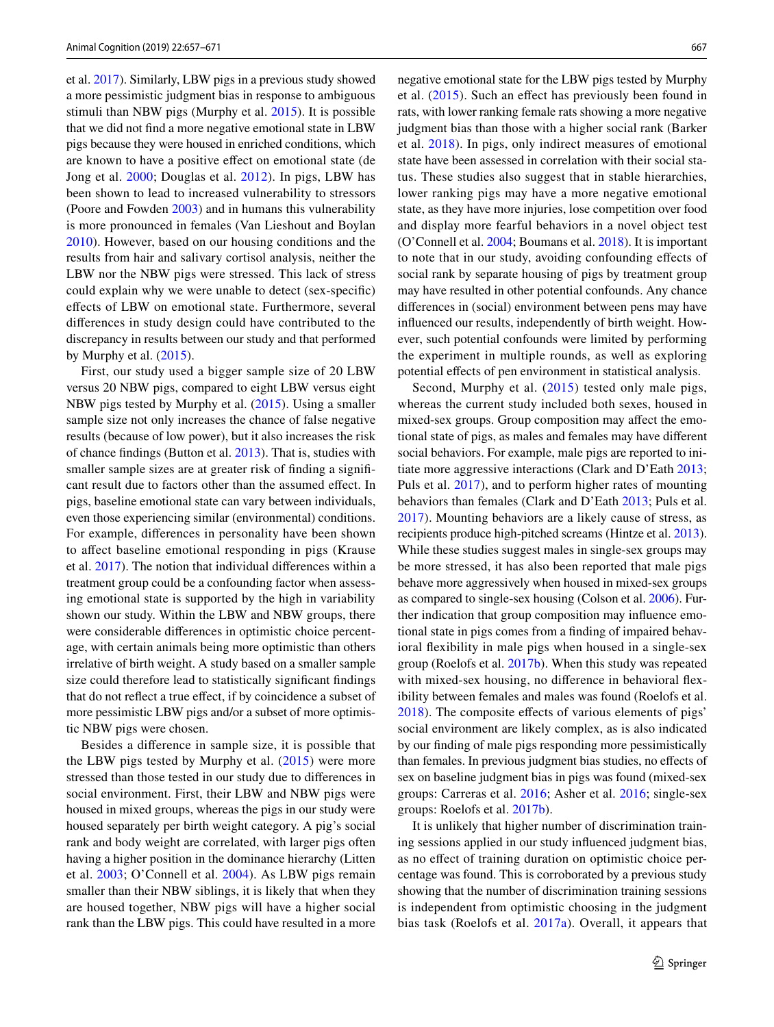et al. [2017\)](#page-13-4). Similarly, LBW pigs in a previous study showed a more pessimistic judgment bias in response to ambiguous stimuli than NBW pigs (Murphy et al. [2015\)](#page-13-16). It is possible that we did not fnd a more negative emotional state in LBW pigs because they were housed in enriched conditions, which are known to have a positive efect on emotional state (de Jong et al. [2000;](#page-12-20) Douglas et al. [2012](#page-12-7)). In pigs, LBW has been shown to lead to increased vulnerability to stressors (Poore and Fowden [2003\)](#page-13-10) and in humans this vulnerability is more pronounced in females (Van Lieshout and Boylan [2010](#page-14-5)). However, based on our housing conditions and the results from hair and salivary cortisol analysis, neither the LBW nor the NBW pigs were stressed. This lack of stress could explain why we were unable to detect (sex-specifc) efects of LBW on emotional state. Furthermore, several diferences in study design could have contributed to the discrepancy in results between our study and that performed by Murphy et al. ([2015\)](#page-13-16).

First, our study used a bigger sample size of 20 LBW versus 20 NBW pigs, compared to eight LBW versus eight NBW pigs tested by Murphy et al. [\(2015\)](#page-13-16). Using a smaller sample size not only increases the chance of false negative results (because of low power), but it also increases the risk of chance fndings (Button et al. [2013\)](#page-12-21). That is, studies with smaller sample sizes are at greater risk of fnding a signifcant result due to factors other than the assumed efect. In pigs, baseline emotional state can vary between individuals, even those experiencing similar (environmental) conditions. For example, diferences in personality have been shown to afect baseline emotional responding in pigs (Krause et al. [2017](#page-13-26)). The notion that individual diferences within a treatment group could be a confounding factor when assessing emotional state is supported by the high in variability shown our study. Within the LBW and NBW groups, there were considerable diferences in optimistic choice percentage, with certain animals being more optimistic than others irrelative of birth weight. A study based on a smaller sample size could therefore lead to statistically significant findings that do not refect a true efect, if by coincidence a subset of more pessimistic LBW pigs and/or a subset of more optimistic NBW pigs were chosen.

Besides a diference in sample size, it is possible that the LBW pigs tested by Murphy et al.  $(2015)$  $(2015)$  $(2015)$  were more stressed than those tested in our study due to diferences in social environment. First, their LBW and NBW pigs were housed in mixed groups, whereas the pigs in our study were housed separately per birth weight category. A pig's social rank and body weight are correlated, with larger pigs often having a higher position in the dominance hierarchy (Litten et al. [2003](#page-13-27); O'Connell et al. [2004\)](#page-13-17). As LBW pigs remain smaller than their NBW siblings, it is likely that when they are housed together, NBW pigs will have a higher social rank than the LBW pigs. This could have resulted in a more

negative emotional state for the LBW pigs tested by Murphy et al. ([2015\)](#page-13-16). Such an efect has previously been found in rats, with lower ranking female rats showing a more negative judgment bias than those with a higher social rank (Barker et al. [2018](#page-12-22)). In pigs, only indirect measures of emotional state have been assessed in correlation with their social status. These studies also suggest that in stable hierarchies, lower ranking pigs may have a more negative emotional state, as they have more injuries, lose competition over food and display more fearful behaviors in a novel object test (O'Connell et al. [2004;](#page-13-17) Boumans et al. [2018](#page-12-23)). It is important to note that in our study, avoiding confounding efects of social rank by separate housing of pigs by treatment group may have resulted in other potential confounds. Any chance diferences in (social) environment between pens may have infuenced our results, independently of birth weight. However, such potential confounds were limited by performing the experiment in multiple rounds, as well as exploring potential effects of pen environment in statistical analysis.

Second, Murphy et al. ([2015](#page-13-16)) tested only male pigs, whereas the current study included both sexes, housed in mixed-sex groups. Group composition may afect the emotional state of pigs, as males and females may have diferent social behaviors. For example, male pigs are reported to initiate more aggressive interactions (Clark and D'Eath [2013](#page-12-24); Puls et al. [2017\)](#page-13-28), and to perform higher rates of mounting behaviors than females (Clark and D'Eath [2013](#page-12-24); Puls et al. [2017\)](#page-13-28). Mounting behaviors are a likely cause of stress, as recipients produce high-pitched screams (Hintze et al. [2013](#page-13-29)). While these studies suggest males in single-sex groups may be more stressed, it has also been reported that male pigs behave more aggressively when housed in mixed-sex groups as compared to single-sex housing (Colson et al. [2006](#page-12-25)). Further indication that group composition may infuence emotional state in pigs comes from a fnding of impaired behavioral fexibility in male pigs when housed in a single-sex group (Roelofs et al. [2017b](#page-14-6)). When this study was repeated with mixed-sex housing, no difference in behavioral flexibility between females and males was found (Roelofs et al. [2018\)](#page-14-4). The composite efects of various elements of pigs' social environment are likely complex, as is also indicated by our fnding of male pigs responding more pessimistically than females. In previous judgment bias studies, no efects of sex on baseline judgment bias in pigs was found (mixed-sex groups: Carreras et al. [2016;](#page-12-26) Asher et al. [2016](#page-12-27); single-sex groups: Roelofs et al. [2017b\)](#page-14-6).

It is unlikely that higher number of discrimination training sessions applied in our study infuenced judgment bias, as no efect of training duration on optimistic choice percentage was found. This is corroborated by a previous study showing that the number of discrimination training sessions is independent from optimistic choosing in the judgment bias task (Roelofs et al. [2017a\)](#page-13-30). Overall, it appears that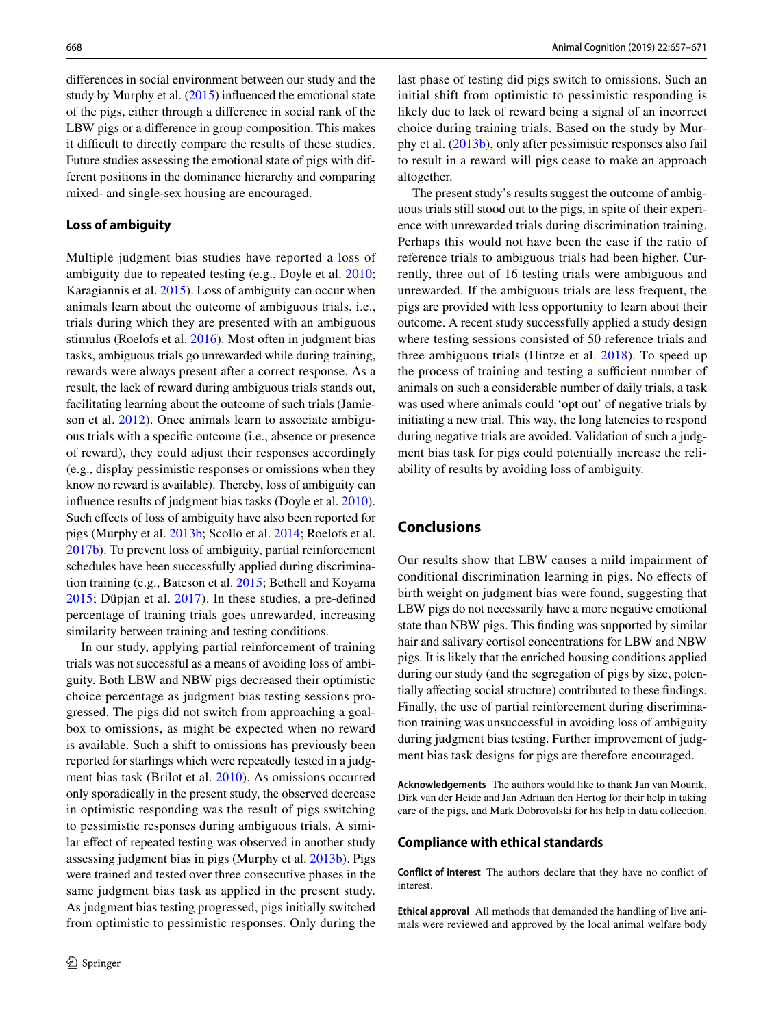diferences in social environment between our study and the study by Murphy et al. [\(2015](#page-13-16)) infuenced the emotional state of the pigs, either through a diference in social rank of the LBW pigs or a diference in group composition. This makes it difficult to directly compare the results of these studies. Future studies assessing the emotional state of pigs with different positions in the dominance hierarchy and comparing mixed- and single-sex housing are encouraged.

#### **Loss of ambiguity**

Multiple judgment bias studies have reported a loss of ambiguity due to repeated testing (e.g., Doyle et al. [2010](#page-12-28); Karagiannis et al. [2015](#page-13-31)). Loss of ambiguity can occur when animals learn about the outcome of ambiguous trials, i.e., trials during which they are presented with an ambiguous stimulus (Roelofs et al. [2016\)](#page-13-14). Most often in judgment bias tasks, ambiguous trials go unrewarded while during training, rewards were always present after a correct response. As a result, the lack of reward during ambiguous trials stands out, facilitating learning about the outcome of such trials (Jamieson et al. [2012\)](#page-13-32). Once animals learn to associate ambiguous trials with a specifc outcome (i.e., absence or presence of reward), they could adjust their responses accordingly (e.g., display pessimistic responses or omissions when they know no reward is available). Thereby, loss of ambiguity can infuence results of judgment bias tasks (Doyle et al. [2010](#page-12-28)). Such effects of loss of ambiguity have also been reported for pigs (Murphy et al. [2013b;](#page-13-33) Scollo et al. [2014](#page-14-12); Roelofs et al. [2017b](#page-14-6)). To prevent loss of ambiguity, partial reinforcement schedules have been successfully applied during discrimination training (e.g., Bateson et al. [2015](#page-12-29); Bethell and Koyama [2015;](#page-12-30) Düpjan et al. [2017](#page-12-11)). In these studies, a pre-defned percentage of training trials goes unrewarded, increasing similarity between training and testing conditions.

In our study, applying partial reinforcement of training trials was not successful as a means of avoiding loss of ambiguity. Both LBW and NBW pigs decreased their optimistic choice percentage as judgment bias testing sessions progressed. The pigs did not switch from approaching a goalbox to omissions, as might be expected when no reward is available. Such a shift to omissions has previously been reported for starlings which were repeatedly tested in a judgment bias task (Brilot et al. [2010\)](#page-12-31). As omissions occurred only sporadically in the present study, the observed decrease in optimistic responding was the result of pigs switching to pessimistic responses during ambiguous trials. A similar effect of repeated testing was observed in another study assessing judgment bias in pigs (Murphy et al. [2013b\)](#page-13-33). Pigs were trained and tested over three consecutive phases in the same judgment bias task as applied in the present study. As judgment bias testing progressed, pigs initially switched from optimistic to pessimistic responses. Only during the

last phase of testing did pigs switch to omissions. Such an initial shift from optimistic to pessimistic responding is likely due to lack of reward being a signal of an incorrect choice during training trials. Based on the study by Murphy et al. ([2013b\)](#page-13-33), only after pessimistic responses also fail to result in a reward will pigs cease to make an approach altogether.

The present study's results suggest the outcome of ambiguous trials still stood out to the pigs, in spite of their experience with unrewarded trials during discrimination training. Perhaps this would not have been the case if the ratio of reference trials to ambiguous trials had been higher. Currently, three out of 16 testing trials were ambiguous and unrewarded. If the ambiguous trials are less frequent, the pigs are provided with less opportunity to learn about their outcome. A recent study successfully applied a study design where testing sessions consisted of 50 reference trials and three ambiguous trials (Hintze et al. [2018](#page-13-34)). To speed up the process of training and testing a sufficient number of animals on such a considerable number of daily trials, a task was used where animals could 'opt out' of negative trials by initiating a new trial. This way, the long latencies to respond during negative trials are avoided. Validation of such a judgment bias task for pigs could potentially increase the reliability of results by avoiding loss of ambiguity.

# **Conclusions**

Our results show that LBW causes a mild impairment of conditional discrimination learning in pigs. No efects of birth weight on judgment bias were found, suggesting that LBW pigs do not necessarily have a more negative emotional state than NBW pigs. This fnding was supported by similar hair and salivary cortisol concentrations for LBW and NBW pigs. It is likely that the enriched housing conditions applied during our study (and the segregation of pigs by size, potentially afecting social structure) contributed to these fndings. Finally, the use of partial reinforcement during discrimination training was unsuccessful in avoiding loss of ambiguity during judgment bias testing. Further improvement of judgment bias task designs for pigs are therefore encouraged.

**Acknowledgements** The authors would like to thank Jan van Mourik, Dirk van der Heide and Jan Adriaan den Hertog for their help in taking care of the pigs, and Mark Dobrovolski for his help in data collection.

#### **Compliance with ethical standards**

**Conflict of interest** The authors declare that they have no confict of interest.

**Ethical approval** All methods that demanded the handling of live animals were reviewed and approved by the local animal welfare body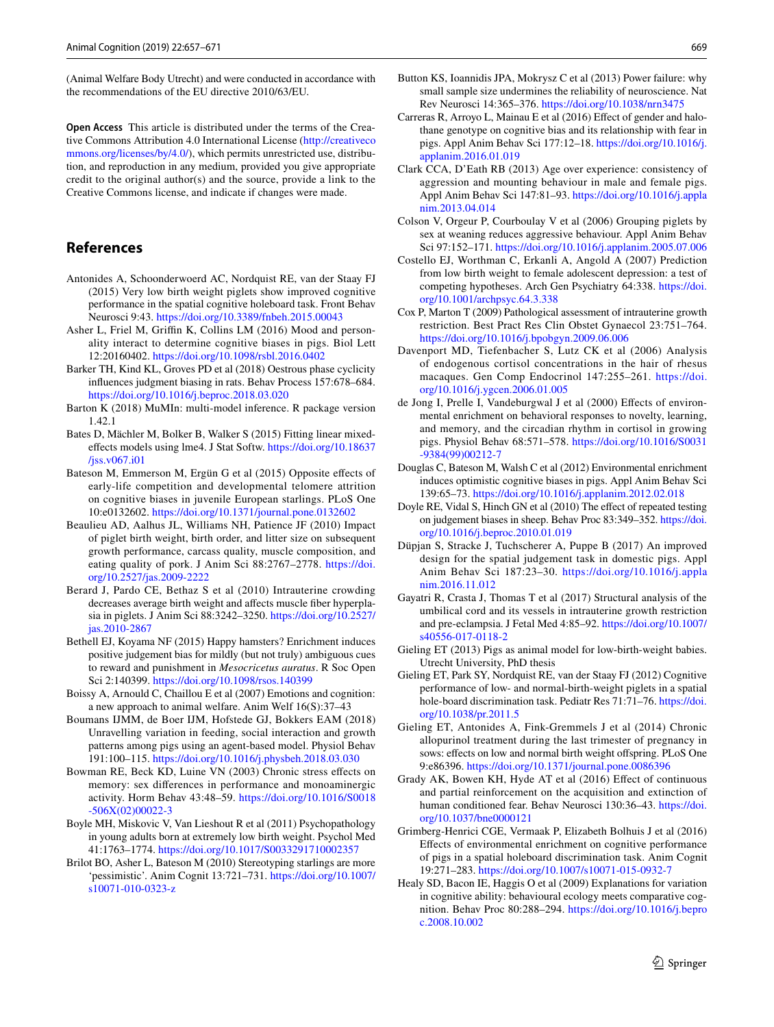(Animal Welfare Body Utrecht) and were conducted in accordance with the recommendations of the EU directive 2010/63/EU.

**Open Access** This article is distributed under the terms of the Creative Commons Attribution 4.0 International License [\(http://creativeco](http://creativecommons.org/licenses/by/4.0/) [mmons.org/licenses/by/4.0/](http://creativecommons.org/licenses/by/4.0/)), which permits unrestricted use, distribution, and reproduction in any medium, provided you give appropriate credit to the original author(s) and the source, provide a link to the Creative Commons license, and indicate if changes were made.

# **References**

- <span id="page-12-6"></span>Antonides A, Schoonderwoerd AC, Nordquist RE, van der Staay FJ (2015) Very low birth weight piglets show improved cognitive performance in the spatial cognitive holeboard task. Front Behav Neurosci 9:43.<https://doi.org/10.3389/fnbeh.2015.00043>
- <span id="page-12-27"></span>Asher L, Friel M, Griffin K, Collins LM (2016) Mood and personality interact to determine cognitive biases in pigs. Biol Lett 12:20160402. <https://doi.org/10.1098/rsbl.2016.0402>
- <span id="page-12-22"></span>Barker TH, Kind KL, Groves PD et al (2018) Oestrous phase cyclicity infuences judgment biasing in rats. Behav Process 157:678–684. <https://doi.org/10.1016/j.beproc.2018.03.020>
- <span id="page-12-14"></span>Barton K (2018) MuMIn: multi-model inference. R package version 1.42.1
- <span id="page-12-13"></span>Bates D, Mächler M, Bolker B, Walker S (2015) Fitting linear mixedefects models using lme4. J Stat Softw. [https://doi.org/10.18637](https://doi.org/10.18637/jss.v067.i01) [/jss.v067.i01](https://doi.org/10.18637/jss.v067.i01)
- <span id="page-12-29"></span>Bateson M, Emmerson M, Ergün G et al (2015) Opposite efects of early-life competition and developmental telomere attrition on cognitive biases in juvenile European starlings. PLoS One 10:e0132602.<https://doi.org/10.1371/journal.pone.0132602>
- <span id="page-12-18"></span>Beaulieu AD, Aalhus JL, Williams NH, Patience JF (2010) Impact of piglet birth weight, birth order, and litter size on subsequent growth performance, carcass quality, muscle composition, and eating quality of pork. J Anim Sci 88:2767–2778. [https://doi.](https://doi.org/10.2527/jas.2009-2222) [org/10.2527/jas.2009-2222](https://doi.org/10.2527/jas.2009-2222)
- <span id="page-12-19"></span>Berard J, Pardo CE, Bethaz S et al (2010) Intrauterine crowding decreases average birth weight and afects muscle fber hyperplasia in piglets. J Anim Sci 88:3242–3250. [https://doi.org/10.2527/](https://doi.org/10.2527/jas.2010-2867) [jas.2010-2867](https://doi.org/10.2527/jas.2010-2867)
- <span id="page-12-30"></span>Bethell EJ, Koyama NF (2015) Happy hamsters? Enrichment induces positive judgement bias for mildly (but not truly) ambiguous cues to reward and punishment in *Mesocricetus auratus*. R Soc Open Sci 2:140399. <https://doi.org/10.1098/rsos.140399>
- <span id="page-12-3"></span>Boissy A, Arnould C, Chaillou E et al (2007) Emotions and cognition: a new approach to animal welfare. Anim Welf 16(S):37–43
- <span id="page-12-23"></span>Boumans IJMM, de Boer IJM, Hofstede GJ, Bokkers EAM (2018) Unravelling variation in feeding, social interaction and growth patterns among pigs using an agent-based model. Physiol Behav 191:100–115. <https://doi.org/10.1016/j.physbeh.2018.03.030>
- <span id="page-12-8"></span>Bowman RE, Beck KD, Luine VN (2003) Chronic stress efects on memory: sex diferences in performance and monoaminergic activity. Horm Behav 43:48–59. [https://doi.org/10.1016/S0018](https://doi.org/10.1016/S0018-506X(02)00022-3) [-506X\(02\)00022-3](https://doi.org/10.1016/S0018-506X(02)00022-3)
- <span id="page-12-0"></span>Boyle MH, Miskovic V, Van Lieshout R et al (2011) Psychopathology in young adults born at extremely low birth weight. Psychol Med 41:1763–1774. <https://doi.org/10.1017/S0033291710002357>
- <span id="page-12-31"></span>Brilot BO, Asher L, Bateson M (2010) Stereotyping starlings are more 'pessimistic'. Anim Cognit 13:721–731. [https://doi.org/10.1007/](https://doi.org/10.1007/s10071-010-0323-z) [s10071-010-0323-z](https://doi.org/10.1007/s10071-010-0323-z)
- <span id="page-12-21"></span>Button KS, Ioannidis JPA, Mokrysz C et al (2013) Power failure: why small sample size undermines the reliability of neuroscience. Nat Rev Neurosci 14:365–376.<https://doi.org/10.1038/nrn3475>
- <span id="page-12-26"></span>Carreras R, Arroyo L, Mainau E et al (2016) Effect of gender and halothane genotype on cognitive bias and its relationship with fear in pigs. Appl Anim Behav Sci 177:12–18. [https://doi.org/10.1016/j.](https://doi.org/10.1016/j.applanim.2016.01.019) [applanim.2016.01.019](https://doi.org/10.1016/j.applanim.2016.01.019)
- <span id="page-12-24"></span>Clark CCA, D'Eath RB (2013) Age over experience: consistency of aggression and mounting behaviour in male and female pigs. Appl Anim Behav Sci 147:81–93. [https://doi.org/10.1016/j.appla](https://doi.org/10.1016/j.applanim.2013.04.014) [nim.2013.04.014](https://doi.org/10.1016/j.applanim.2013.04.014)
- <span id="page-12-25"></span>Colson V, Orgeur P, Courboulay V et al (2006) Grouping piglets by sex at weaning reduces aggressive behaviour. Appl Anim Behav Sci 97:152–171.<https://doi.org/10.1016/j.applanim.2005.07.006>
- <span id="page-12-10"></span>Costello EJ, Worthman C, Erkanli A, Angold A (2007) Prediction from low birth weight to female adolescent depression: a test of competing hypotheses. Arch Gen Psychiatry 64:338. [https://doi.](https://doi.org/10.1001/archpsyc.64.3.338) [org/10.1001/archpsyc.64.3.338](https://doi.org/10.1001/archpsyc.64.3.338)
- <span id="page-12-1"></span>Cox P, Marton T (2009) Pathological assessment of intrauterine growth restriction. Best Pract Res Clin Obstet Gynaecol 23:751–764. <https://doi.org/10.1016/j.bpobgyn.2009.06.006>
- <span id="page-12-12"></span>Davenport MD, Tiefenbacher S, Lutz CK et al (2006) Analysis of endogenous cortisol concentrations in the hair of rhesus macaques. Gen Comp Endocrinol 147:255–261. [https://doi.](https://doi.org/10.1016/j.ygcen.2006.01.005) [org/10.1016/j.ygcen.2006.01.005](https://doi.org/10.1016/j.ygcen.2006.01.005)
- <span id="page-12-20"></span>de Jong I, Prelle I, Vandeburgwal J et al (2000) Efects of environmental enrichment on behavioral responses to novelty, learning, and memory, and the circadian rhythm in cortisol in growing pigs. Physiol Behav 68:571–578. [https://doi.org/10.1016/S0031](https://doi.org/10.1016/S0031-9384(99)00212-7) [-9384\(99\)00212-7](https://doi.org/10.1016/S0031-9384(99)00212-7)
- <span id="page-12-7"></span>Douglas C, Bateson M, Walsh C et al (2012) Environmental enrichment induces optimistic cognitive biases in pigs. Appl Anim Behav Sci 139:65–73.<https://doi.org/10.1016/j.applanim.2012.02.018>
- <span id="page-12-28"></span>Doyle RE, Vidal S, Hinch GN et al (2010) The effect of repeated testing on judgement biases in sheep. Behav Proc 83:349–352. [https://doi.](https://doi.org/10.1016/j.beproc.2010.01.019) [org/10.1016/j.beproc.2010.01.019](https://doi.org/10.1016/j.beproc.2010.01.019)
- <span id="page-12-11"></span>Düpjan S, Stracke J, Tuchscherer A, Puppe B (2017) An improved design for the spatial judgement task in domestic pigs. Appl Anim Behav Sci 187:23–30. [https://doi.org/10.1016/j.appla](https://doi.org/10.1016/j.applanim.2016.11.012) [nim.2016.11.012](https://doi.org/10.1016/j.applanim.2016.11.012)
- <span id="page-12-2"></span>Gayatri R, Crasta J, Thomas T et al (2017) Structural analysis of the umbilical cord and its vessels in intrauterine growth restriction and pre-eclampsia. J Fetal Med 4:85–92. [https://doi.org/10.1007/](https://doi.org/10.1007/s40556-017-0118-2) [s40556-017-0118-2](https://doi.org/10.1007/s40556-017-0118-2)
- <span id="page-12-15"></span>Gieling ET (2013) Pigs as animal model for low-birth-weight babies. Utrecht University, PhD thesis
- <span id="page-12-4"></span>Gieling ET, Park SY, Nordquist RE, van der Staay FJ (2012) Cognitive performance of low- and normal-birth-weight piglets in a spatial hole-board discrimination task. Pediatr Res 71:71-76. [https://doi.](https://doi.org/10.1038/pr.2011.5) [org/10.1038/pr.2011.5](https://doi.org/10.1038/pr.2011.5)
- <span id="page-12-5"></span>Gieling ET, Antonides A, Fink-Gremmels J et al (2014) Chronic allopurinol treatment during the last trimester of pregnancy in sows: effects on low and normal birth weight offspring. PLoS One 9:e86396.<https://doi.org/10.1371/journal.pone.0086396>
- <span id="page-12-17"></span>Grady AK, Bowen KH, Hyde AT et al (2016) Efect of continuous and partial reinforcement on the acquisition and extinction of human conditioned fear. Behav Neurosci 130:36–43. [https://doi.](https://doi.org/10.1037/bne0000121) [org/10.1037/bne0000121](https://doi.org/10.1037/bne0000121)
- <span id="page-12-16"></span>Grimberg-Henrici CGE, Vermaak P, Elizabeth Bolhuis J et al (2016) Efects of environmental enrichment on cognitive performance of pigs in a spatial holeboard discrimination task. Anim Cognit 19:271–283.<https://doi.org/10.1007/s10071-015-0932-7>
- <span id="page-12-9"></span>Healy SD, Bacon IE, Haggis O et al (2009) Explanations for variation in cognitive ability: behavioural ecology meets comparative cognition. Behav Proc 80:288–294. [https://doi.org/10.1016/j.bepro](https://doi.org/10.1016/j.beproc.2008.10.002) [c.2008.10.002](https://doi.org/10.1016/j.beproc.2008.10.002)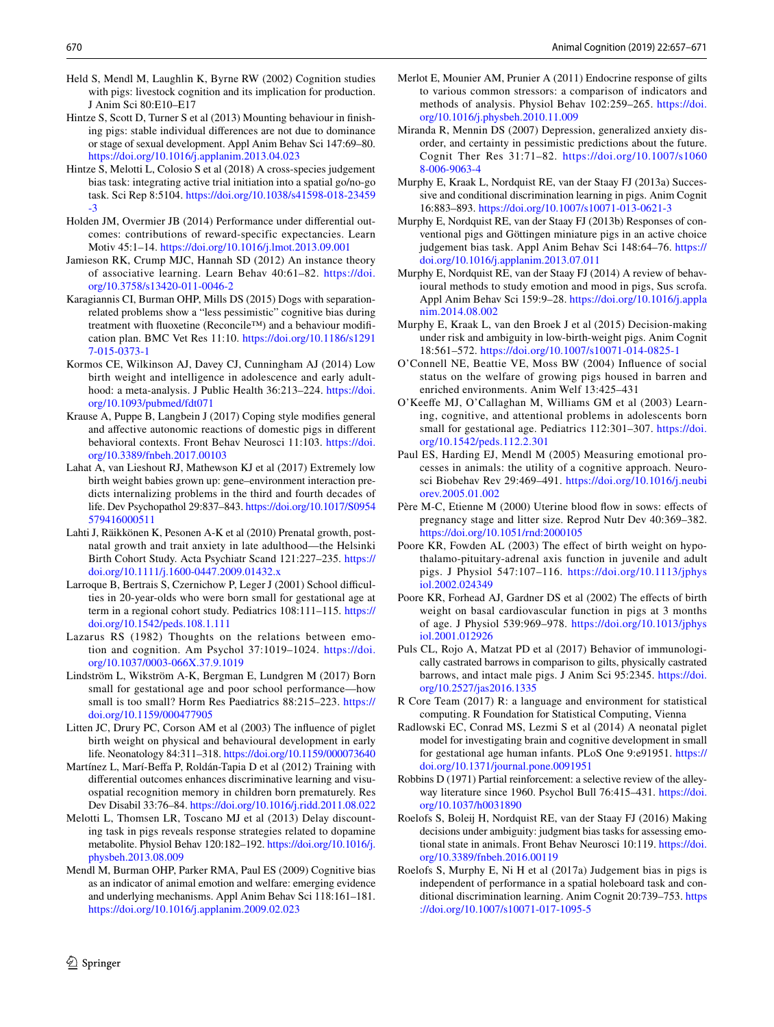- <span id="page-13-7"></span>Held S, Mendl M, Laughlin K, Byrne RW (2002) Cognition studies with pigs: livestock cognition and its implication for production. J Anim Sci 80:E10–E17
- <span id="page-13-29"></span>Hintze S, Scott D, Turner S et al (2013) Mounting behaviour in fnishing pigs: stable individual diferences are not due to dominance or stage of sexual development. Appl Anim Behav Sci 147:69–80. <https://doi.org/10.1016/j.applanim.2013.04.023>
- <span id="page-13-34"></span>Hintze S, Melotti L, Colosio S et al (2018) A cross-species judgement bias task: integrating active trial initiation into a spatial go/no-go task. Sci Rep 8:5104. [https://doi.org/10.1038/s41598-018-23459](https://doi.org/10.1038/s41598-018-23459-3) [-3](https://doi.org/10.1038/s41598-018-23459-3)
- <span id="page-13-23"></span>Holden JM, Overmier JB (2014) Performance under diferential outcomes: contributions of reward-specific expectancies. Learn Motiv 45:1–14.<https://doi.org/10.1016/j.lmot.2013.09.001>
- <span id="page-13-32"></span>Jamieson RK, Crump MJC, Hannah SD (2012) An instance theory of associative learning. Learn Behav 40:61–82. [https://doi.](https://doi.org/10.3758/s13420-011-0046-2) [org/10.3758/s13420-011-0046-2](https://doi.org/10.3758/s13420-011-0046-2)
- <span id="page-13-31"></span>Karagiannis CI, Burman OHP, Mills DS (2015) Dogs with separationrelated problems show a "less pessimistic" cognitive bias during treatment with fuoxetine (Reconcile™) and a behaviour modifcation plan. BMC Vet Res 11:10. [https://doi.org/10.1186/s1291](https://doi.org/10.1186/s12917-015-0373-1) [7-015-0373-1](https://doi.org/10.1186/s12917-015-0373-1)
- <span id="page-13-20"></span>Kormos CE, Wilkinson AJ, Davey CJ, Cunningham AJ (2014) Low birth weight and intelligence in adolescence and early adulthood: a meta-analysis. J Public Health 36:213-224. [https://doi.](https://doi.org/10.1093/pubmed/fdt071) [org/10.1093/pubmed/fdt071](https://doi.org/10.1093/pubmed/fdt071)
- <span id="page-13-26"></span>Krause A, Puppe B, Langbein J (2017) Coping style modifes general and afective autonomic reactions of domestic pigs in diferent behavioral contexts. Front Behav Neurosci 11:103. [https://doi.](https://doi.org/10.3389/fnbeh.2017.00103) [org/10.3389/fnbeh.2017.00103](https://doi.org/10.3389/fnbeh.2017.00103)
- <span id="page-13-4"></span>Lahat A, van Lieshout RJ, Mathewson KJ et al (2017) Extremely low birth weight babies grown up: gene–environment interaction predicts internalizing problems in the third and fourth decades of life. Dev Psychopathol 29:837–843. [https://doi.org/10.1017/S0954](https://doi.org/10.1017/S0954579416000511) [579416000511](https://doi.org/10.1017/S0954579416000511)
- <span id="page-13-3"></span>Lahti J, Räikkönen K, Pesonen A-K et al (2010) Prenatal growth, postnatal growth and trait anxiety in late adulthood—the Helsinki Birth Cohort Study. Acta Psychiatr Scand 121:227–235. [https://](https://doi.org/10.1111/j.1600-0447.2009.01432.x) [doi.org/10.1111/j.1600-0447.2009.01432.x](https://doi.org/10.1111/j.1600-0447.2009.01432.x)
- <span id="page-13-1"></span>Larroque B, Bertrais S, Czernichow P, Leger J (2001) School difficulties in 20-year-olds who were born small for gestational age at term in a regional cohort study. Pediatrics 108:111–115. [https://](https://doi.org/10.1542/peds.108.1.111) [doi.org/10.1542/peds.108.1.111](https://doi.org/10.1542/peds.108.1.111)
- <span id="page-13-5"></span>Lazarus RS (1982) Thoughts on the relations between emotion and cognition. Am Psychol 37:1019–1024. [https://doi.](https://doi.org/10.1037/0003-066X.37.9.1019) [org/10.1037/0003-066X.37.9.1019](https://doi.org/10.1037/0003-066X.37.9.1019)
- <span id="page-13-2"></span>Lindström L, Wikström A-K, Bergman E, Lundgren M (2017) Born small for gestational age and poor school performance—how small is too small? Horm Res Paediatrics 88:215–223. [https://](https://doi.org/10.1159/000477905) [doi.org/10.1159/000477905](https://doi.org/10.1159/000477905)
- <span id="page-13-27"></span>Litten JC, Drury PC, Corson AM et al (2003) The infuence of piglet birth weight on physical and behavioural development in early life. Neonatology 84:311–318.<https://doi.org/10.1159/000073640>
- <span id="page-13-25"></span>Martínez L, Marí-Befa P, Roldán-Tapia D et al (2012) Training with diferential outcomes enhances discriminative learning and visuospatial recognition memory in children born prematurely. Res Dev Disabil 33:76–84.<https://doi.org/10.1016/j.ridd.2011.08.022>
- <span id="page-13-22"></span>Melotti L, Thomsen LR, Toscano MJ et al (2013) Delay discounting task in pigs reveals response strategies related to dopamine metabolite. Physiol Behav 120:182–192. [https://doi.org/10.1016/j.](https://doi.org/10.1016/j.physbeh.2013.08.009) [physbeh.2013.08.009](https://doi.org/10.1016/j.physbeh.2013.08.009)
- <span id="page-13-13"></span>Mendl M, Burman OHP, Parker RMA, Paul ES (2009) Cognitive bias as an indicator of animal emotion and welfare: emerging evidence and underlying mechanisms. Appl Anim Behav Sci 118:161–181. <https://doi.org/10.1016/j.applanim.2009.02.023>
- <span id="page-13-18"></span>Merlot E, Mounier AM, Prunier A (2011) Endocrine response of gilts to various common stressors: a comparison of indicators and methods of analysis. Physiol Behav 102:259–265. [https://doi.](https://doi.org/10.1016/j.physbeh.2010.11.009) [org/10.1016/j.physbeh.2010.11.009](https://doi.org/10.1016/j.physbeh.2010.11.009)
- <span id="page-13-15"></span>Miranda R, Mennin DS (2007) Depression, generalized anxiety disorder, and certainty in pessimistic predictions about the future. Cognit Ther Res 31:71–82. [https://doi.org/10.1007/s1060](https://doi.org/10.1007/s10608-006-9063-4) [8-006-9063-4](https://doi.org/10.1007/s10608-006-9063-4)
- <span id="page-13-21"></span>Murphy E, Kraak L, Nordquist RE, van der Staay FJ (2013a) Successive and conditional discrimination learning in pigs. Anim Cognit 16:883–893.<https://doi.org/10.1007/s10071-013-0621-3>
- <span id="page-13-33"></span>Murphy E, Nordquist RE, van der Staay FJ (2013b) Responses of conventional pigs and Göttingen miniature pigs in an active choice judgement bias task. Appl Anim Behav Sci 148:64–76. [https://](https://doi.org/10.1016/j.applanim.2013.07.011) [doi.org/10.1016/j.applanim.2013.07.011](https://doi.org/10.1016/j.applanim.2013.07.011)
- <span id="page-13-11"></span>Murphy E, Nordquist RE, van der Staay FJ (2014) A review of behavioural methods to study emotion and mood in pigs, Sus scrofa. Appl Anim Behav Sci 159:9–28. [https://doi.org/10.1016/j.appla](https://doi.org/10.1016/j.applanim.2014.08.002) [nim.2014.08.002](https://doi.org/10.1016/j.applanim.2014.08.002)
- <span id="page-13-16"></span>Murphy E, Kraak L, van den Broek J et al (2015) Decision-making under risk and ambiguity in low-birth-weight pigs. Anim Cognit 18:561–572. <https://doi.org/10.1007/s10071-014-0825-1>
- <span id="page-13-17"></span>O'Connell NE, Beattie VE, Moss BW (2004) Infuence of social status on the welfare of growing pigs housed in barren and enriched environments. Anim Welf 13:425–431
- <span id="page-13-0"></span>O'Keefe MJ, O'Callaghan M, Williams GM et al (2003) Learning, cognitive, and attentional problems in adolescents born small for gestational age. Pediatrics 112:301–307. [https://doi.](https://doi.org/10.1542/peds.112.2.301) [org/10.1542/peds.112.2.301](https://doi.org/10.1542/peds.112.2.301)
- <span id="page-13-12"></span>Paul ES, Harding EJ, Mendl M (2005) Measuring emotional processes in animals: the utility of a cognitive approach. Neurosci Biobehav Rev 29:469–491. [https://doi.org/10.1016/j.neubi](https://doi.org/10.1016/j.neubiorev.2005.01.002) [orev.2005.01.002](https://doi.org/10.1016/j.neubiorev.2005.01.002)
- <span id="page-13-6"></span>Père M-C, Etienne M (2000) Uterine blood flow in sows: effects of pregnancy stage and litter size. Reprod Nutr Dev 40:369–382. <https://doi.org/10.1051/rnd:2000105>
- <span id="page-13-10"></span>Poore KR, Fowden AL (2003) The effect of birth weight on hypothalamo-pituitary-adrenal axis function in juvenile and adult pigs. J Physiol 547:107–116. [https://doi.org/10.1113/jphys](https://doi.org/10.1113/jphysiol.2002.024349) [iol.2002.024349](https://doi.org/10.1113/jphysiol.2002.024349)
- <span id="page-13-9"></span>Poore KR, Forhead AJ, Gardner DS et al (2002) The effects of birth weight on basal cardiovascular function in pigs at 3 months of age. J Physiol 539:969–978. [https://doi.org/10.1013/jphys](https://doi.org/10.1013/jphysiol.2001.012926) [iol.2001.012926](https://doi.org/10.1013/jphysiol.2001.012926)
- <span id="page-13-28"></span>Puls CL, Rojo A, Matzat PD et al (2017) Behavior of immunologically castrated barrows in comparison to gilts, physically castrated barrows, and intact male pigs. J Anim Sci 95:2345. [https://doi.](https://doi.org/10.2527/jas2016.1335) [org/10.2527/jas2016.1335](https://doi.org/10.2527/jas2016.1335)
- <span id="page-13-19"></span>R Core Team (2017) R: a language and environment for statistical computing. R Foundation for Statistical Computing, Vienna
- <span id="page-13-8"></span>Radlowski EC, Conrad MS, Lezmi S et al (2014) A neonatal piglet model for investigating brain and cognitive development in small for gestational age human infants. PLoS One 9:e91951. [https://](https://doi.org/10.1371/journal.pone.0091951) [doi.org/10.1371/journal.pone.0091951](https://doi.org/10.1371/journal.pone.0091951)
- <span id="page-13-24"></span>Robbins D (1971) Partial reinforcement: a selective review of the alleyway literature since 1960. Psychol Bull 76:415–431. [https://doi.](https://doi.org/10.1037/h0031890) [org/10.1037/h0031890](https://doi.org/10.1037/h0031890)
- <span id="page-13-14"></span>Roelofs S, Boleij H, Nordquist RE, van der Staay FJ (2016) Making decisions under ambiguity: judgment bias tasks for assessing emotional state in animals. Front Behav Neurosci 10:119. [https://doi.](https://doi.org/10.3389/fnbeh.2016.00119) [org/10.3389/fnbeh.2016.00119](https://doi.org/10.3389/fnbeh.2016.00119)
- <span id="page-13-30"></span>Roelofs S, Murphy E, Ni H et al (2017a) Judgement bias in pigs is independent of performance in a spatial holeboard task and conditional discrimination learning. Anim Cognit 20:739–753. [https](https://doi.org/10.1007/s10071-017-1095-5) [://doi.org/10.1007/s10071-017-1095-5](https://doi.org/10.1007/s10071-017-1095-5)